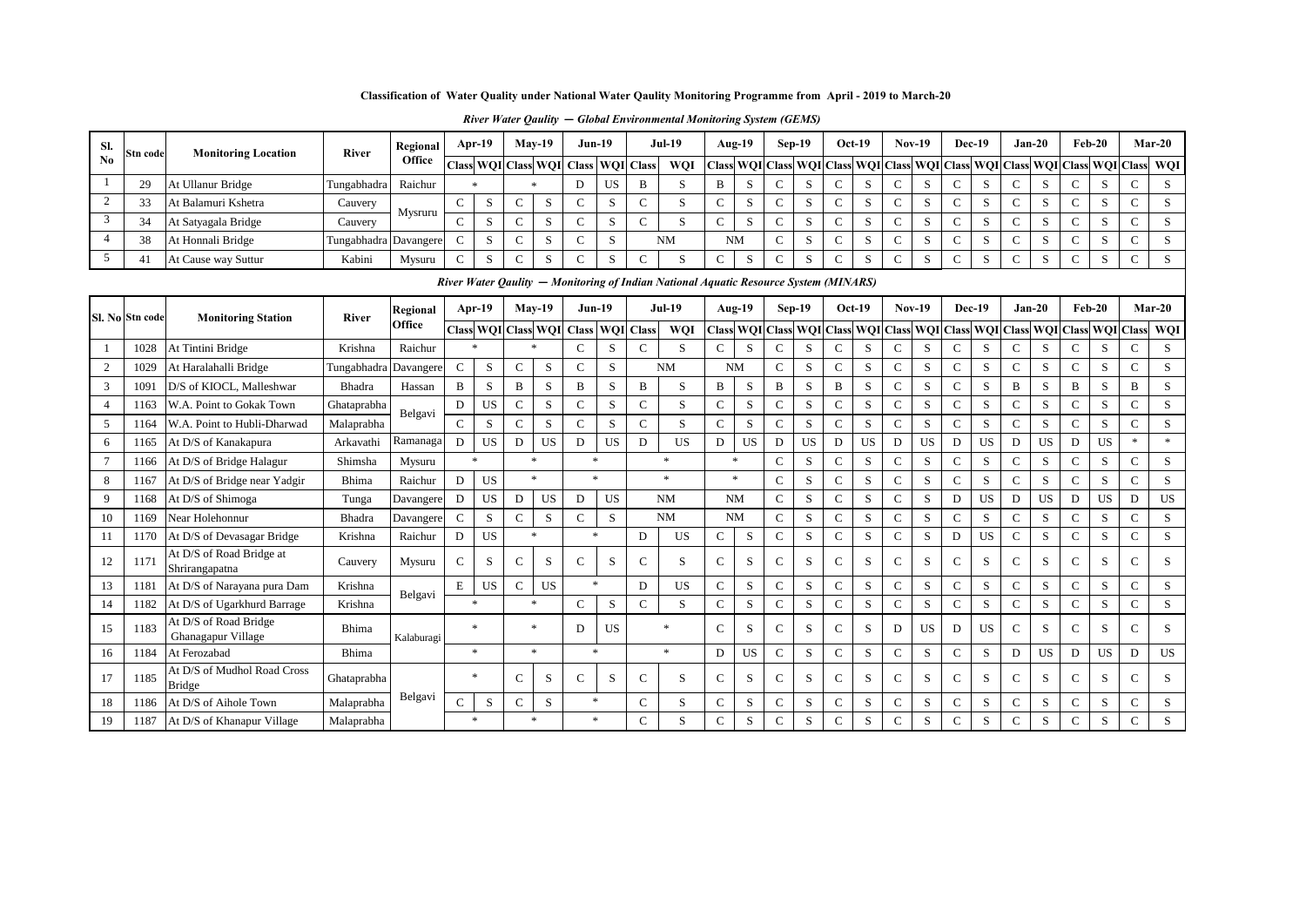### **Classification of Water Quality under National Water Qaulity Monitoring Programme from April - 2019 to March-20**

|  |  |  |  | River Water Qaulity – Global Environmental Monitoring System (GEMS) |  |  |  |
|--|--|--|--|---------------------------------------------------------------------|--|--|--|
|--|--|--|--|---------------------------------------------------------------------|--|--|--|

| SI. | Stn code | <b>Monitoring Location</b> | <b>River</b>          | Regional | Apr- $19$ | $Mav-19$ | <b>Jun-19</b>                       |    |   | <b>Jul-19</b>                                                                                                                                                                                                                  |           | $Aug-19$ |        | $Sep-19$    | $Oct-19$ | <b>Nov-19</b> | Dec-19 |        | Jan-20        | $Feb-20$ |                    | $Mar-20$ |
|-----|----------|----------------------------|-----------------------|----------|-----------|----------|-------------------------------------|----|---|--------------------------------------------------------------------------------------------------------------------------------------------------------------------------------------------------------------------------------|-----------|----------|--------|-------------|----------|---------------|--------|--------|---------------|----------|--------------------|----------|
| No  |          |                            |                       | Office   |           |          | Class WQI Class WQI Class WQI Class |    |   | WQI   Class   WQI   Class   WQI   Class   WQI   Class   WQI   Class   WQI   Class   WQI   Class   WQI   Class                                                                                                                  |           |          |        |             |          |               |        |        |               |          |                    |          |
|     | 29       | At Ullanur Bridge          | Tungabhadra           | Raichur  |           |          |                                     | US | B |                                                                                                                                                                                                                                | B         |          |        | O.          | د        |               |        |        | $\mathcal{D}$ | $\sim$   | D.                 |          |
|     |          | At Balamuri Kshetra        | Cauvery               | Mysruru  | ъ.        |          |                                     |    |   |                                                                                                                                                                                                                                |           |          |        | D.          |          |               |        |        | C.            | $\sim$   | $\mathbf{D}$       |          |
|     | 34       | At Satyagala Bridge        | Cauvery               |          | r.        |          |                                     |    |   |                                                                                                                                                                                                                                |           |          | $\sim$ | د           |          |               |        | $\sim$ | $\sim$<br>C.  | $\sim$   | $\mathbf{C}$<br>ъ. |          |
|     | 38       | At Honnali Bridge          | Tungabhadra Davangere |          | э.        |          |                                     |    |   | <b>NM</b>                                                                                                                                                                                                                      | <b>NM</b> |          |        | P           |          |               |        |        |               | $\sim$   | $\mathbf{D}$       |          |
|     |          | At Cause way Suttur        | Kabini                | Mysuru   | C.        |          |                                     |    |   |                                                                                                                                                                                                                                |           | $\sim$   | $\sim$ | $\sim$<br>P |          |               |        | $\sim$ |               | $\sim$   | $\sim$<br>C.       |          |
|     |          |                            |                       |          |           |          |                                     |    |   | n'in any any and a state of the state of the state of the state of the state of the state of the state of the state of the state of the state of the state of the state of the state of the state of the state of the state of |           |          |        |             |          |               |        |        |               |          |                    |          |

*River Water Qaulity* **—** *Monitoring of Indian National Aquatic Resource System (MINARS)* 

|                |                 |                                              |                       |            |               | niver <i>n</i> aar gauniy |               |                     |               |           |                  | <i>mondoning</i> of manan <i>manonia mondon nesource system</i> ( <i>mm</i> vms) |               |               |               |          |              |                                     |              |           |              |                     |               |          |              |                                   |               |           |
|----------------|-----------------|----------------------------------------------|-----------------------|------------|---------------|---------------------------|---------------|---------------------|---------------|-----------|------------------|----------------------------------------------------------------------------------|---------------|---------------|---------------|----------|--------------|-------------------------------------|--------------|-----------|--------------|---------------------|---------------|----------|--------------|-----------------------------------|---------------|-----------|
|                | Sl. No Stn code | <b>Monitoring Station</b>                    | <b>River</b>          | Regional   |               | Apr- $19$                 |               | $May-19$            | $Jun-19$      |           |                  | <b>Jul-19</b>                                                                    |               | <b>Aug-19</b> |               | $Sep-19$ |              | $Oct-19$                            |              | $Nov-19$  |              | Dec-19              |               | $Jan-20$ | $Feb-20$     |                                   |               | $Mar-20$  |
|                |                 |                                              |                       | Office     |               |                           |               | Class WQI Class WQI | <b>Class</b>  |           | <b>WQI</b> Class | WQI                                                                              |               |               |               |          |              | Class WQI Class WQI Class WQI Class |              |           |              | WQI Class WQI Class |               |          |              | <b>WQI</b> Class <b>WQI</b> Class |               | WQI       |
|                | 1028            | At Tintini Bridge                            | Krishna               | Raichur    |               | $\ast$                    |               | $\ast$              | $\mathcal{C}$ |           | $\mathcal{C}$    | S                                                                                | C             | S             | $\mathsf{C}$  | S.       | $\mathsf{C}$ | S                                   | $\mathsf{C}$ | S         | $\mathsf{C}$ | S.                  | C             | S.       | $\mathbf{C}$ | S.                                | $\mathsf{C}$  | S         |
| 2              | 1029            | At Haralahalli Bridge                        | Tungabhadra Davangere |            | $\mathsf{C}$  | S                         | $\mathcal{C}$ | S                   | $\mathbf C$   | S         |                  | <b>NM</b>                                                                        | <b>NM</b>     |               | C             | S.       | C            | S                                   | $\mathsf{C}$ | S         | C            | S                   | C             | S.       | $\mathsf{C}$ | S                                 | $\mathsf{C}$  | S         |
| 3              | 109             | D/S of KIOCL, Malleshwar                     | Bhadra                | Hassan     | B             | S                         | B             | S                   | B             | S         | B                | S                                                                                | B             | S             | B             | S        | B            | S                                   | $\mathbf C$  | S         | $\mathsf{C}$ | S.                  | B             | S.       | B            | S.                                | B             | S         |
| $\overline{4}$ | 1163            | W.A. Point to Gokak Town                     | Ghataprabha           |            | D             | <b>US</b>                 | $\mathsf{C}$  | S                   | C             | S         | $\mathbf C$      | S                                                                                | C             | S             | C             | S        | $\mathbf C$  | S                                   | $\mathsf{C}$ | S         | $\mathsf{C}$ | S                   | C             | S        | C            | S                                 | C             | S         |
| 5              | 1164            | W.A. Point to Hubli-Dharwad                  | Malaprabha            | Belgavi    | $\mathcal{C}$ | S                         | $\mathsf{C}$  | S                   | $\mathbf C$   | S         | $\mathsf{C}$     | S                                                                                | C             | S             | C             | S.       | $\mathbf C$  | S                                   | C            | S         | $\mathbf C$  | S                   | C             | S.       | $\mathbf C$  | S                                 | $\mathbf{C}$  | S         |
| 6              | 1165            | At D/S of Kanakapura                         | Arkavathi             | Ramanaga   | $\mathbf{D}$  | <b>US</b>                 | D             | US                  | D             | US        | D                | <b>US</b>                                                                        | D             | <b>US</b>     | D             | US       | D            | <b>US</b>                           | D            | <b>US</b> | D            | <b>US</b>           | D             | US       | D            | <b>US</b>                         | sk.           | $\ast$    |
|                | 1166            | At D/S of Bridge Halagur                     | Shimsha               | Mysuru     |               | $\ast$                    |               | $\ast$              | *             |           |                  | $\ast$                                                                           |               | $*$           | $\mathcal{C}$ | S        | $\mathbf{C}$ | S                                   | $\mathsf{C}$ | S         | $\mathbf{C}$ | S.                  | $\mathbf{C}$  | S.       | $\mathbf{C}$ | S                                 | $\mathcal{C}$ | S         |
| 8              | 1167            | At D/S of Bridge near Yadgir                 | Bhima                 | Raichur    | D             | <b>US</b>                 |               | $\ast$              | $*$           |           |                  | $\ast$                                                                           |               | $*$           | C             | S.       | $\mathsf{C}$ | S                                   | C            | S         | $\mathsf{C}$ | S                   | $\mathbf{C}$  | S        |              | S                                 | $\mathbf{C}$  | S         |
| 9              | 1168            | At D/S of Shimoga                            | Tunga                 | Davangere  | D             | <b>US</b>                 | D             | US                  | D             | <b>US</b> |                  | <b>NM</b>                                                                        | <b>NM</b>     |               | $\mathbf C$   | S        | C            | S                                   | $\mathsf{C}$ | S         | D            | <b>US</b>           | D             | US       | D            | US                                | D             | <b>US</b> |
| 10             | 1169            | Near Holehonnur                              | Bhadra                | Davangere  | $\mathcal{C}$ | S                         | $\mathsf{C}$  | S                   | $\mathsf{C}$  | S         |                  | <b>NM</b>                                                                        | <b>NM</b>     |               | C             | S        | $\mathbf C$  | S                                   | $\mathsf{C}$ | S         | $\mathsf{C}$ | S.                  | C             | S        | C            | S.                                | $\mathsf{C}$  | S         |
| 11             |                 | At D/S of Devasagar Bridge                   | Krishna               | Raichur    | D             | <b>US</b>                 |               | $\ast$              | *             |           | D                | <b>US</b>                                                                        | C             | S             | C             | S        | C            | S                                   | $\mathsf{C}$ | S         | D            | <b>US</b>           | C             | S.       | $\mathbf{C}$ | S                                 | $\mathbf{C}$  | S         |
| 12             | 1171            | At D/S of Road Bridge at<br>Shrirangapatna   | Cauvery               | Mysuru     | $\mathsf{C}$  | S                         | $\mathcal{C}$ | S                   | $\mathcal{C}$ | S         | $\mathsf{C}$     | S                                                                                | C             | S             | $\mathbf C$   | S.       | $\mathbf C$  | S                                   | $\mathsf{C}$ | S         | $\mathbf C$  | S                   | $\mathbf{C}$  | S        | $\mathsf{C}$ | S                                 | $\mathbf{C}$  | S         |
| 13             | 1181            | At D/S of Narayana pura Dam                  | Krishna               | Belgavi    | E             | <b>US</b>                 | $\mathbf C$   | <b>US</b>           | $*$           |           | D                | <b>US</b>                                                                        | $\mathcal{C}$ | S             | $\mathbf C$   | S        | $\mathsf{C}$ | S                                   | $\mathbf{C}$ | S.        | $\mathsf{C}$ | S.                  | $\mathcal{C}$ | S        | $\mathbf{C}$ | S                                 | $\mathbf{C}$  | S         |
| 14             | 1182            | At D/S of Ugarkhurd Barrage                  | Krishna               |            |               | $\ast$                    |               | $\ast$              | $\mathbf C$   | S         | $\mathsf{C}$     | S                                                                                | $\mathsf{C}$  | S             | C             | S        | $\mathsf{C}$ | S                                   | $\mathbf C$  | S         | $\mathbf{C}$ | S.                  | $\mathcal{C}$ | S        | $\mathsf{C}$ | S                                 | $\mathbf{C}$  | S         |
| 15             | 1183            | At D/S of Road Bridge<br>Ghanagapur Village  | Bhima                 | Kalaburagi |               | $\ast$                    |               | $\ast$              | D             | <b>US</b> |                  |                                                                                  | $\mathcal{C}$ | S             | $\mathbf C$   | S.       | $\mathbf C$  | S                                   | D            | <b>US</b> | D            | US.                 | $\mathbf{C}$  | S.       | $\mathsf{C}$ | S                                 | $\mathbf{C}$  | S         |
| 16             | 1184            | At Ferozabad                                 | Bhima                 |            |               | $\ast$                    |               | $*$                 | $\ast$        |           |                  | $\ast$                                                                           | D             | <b>US</b>     | C             | S        | $\mathsf{C}$ | S                                   | $\mathsf{C}$ | S         | $\mathbf C$  | S                   | D             | US       | D            | US                                | D             | <b>US</b> |
|                | 1185            | At D/S of Mudhol Road Cross<br><b>Bridge</b> | Ghataprabha           |            |               | $\ast$                    | $\mathcal{C}$ | S                   | $\mathcal{C}$ | S         | $\mathcal{C}$    | S                                                                                | $\mathsf{C}$  | S             | $\mathbf C$   | S.       | $\mathsf{C}$ | S                                   | $\mathsf{C}$ | S         | $\mathsf{C}$ | S                   | C             | S        | $\mathsf{C}$ | S                                 | $\mathbf C$   | S         |
| 18             | 1186            | At D/S of Aihole Town                        | Malaprabha            | Belgavi    | $\mathcal{C}$ | S                         | $\mathbf C$   | S                   | $\ast$        |           | C                | S                                                                                | C             | S             | C             | S        | C            | S                                   | $\mathbf{C}$ | S         | $\mathbf C$  | S                   | $\mathbf C$   | S        | $\mathbf{C}$ | S                                 | $\mathbf C$   | S         |
| 19             | 1187            | At D/S of Khanapur Village                   | Malaprabha            |            |               | $\ast$                    |               | $\ast$              | *             |           | $\mathsf{C}$     | S                                                                                | C             | S             | C             | S        | $\mathsf{C}$ | S                                   | $\mathbf C$  | S         | $\mathbf C$  | S                   | C             | S        | $\mathbf C$  | S                                 | $\mathbf C$   |           |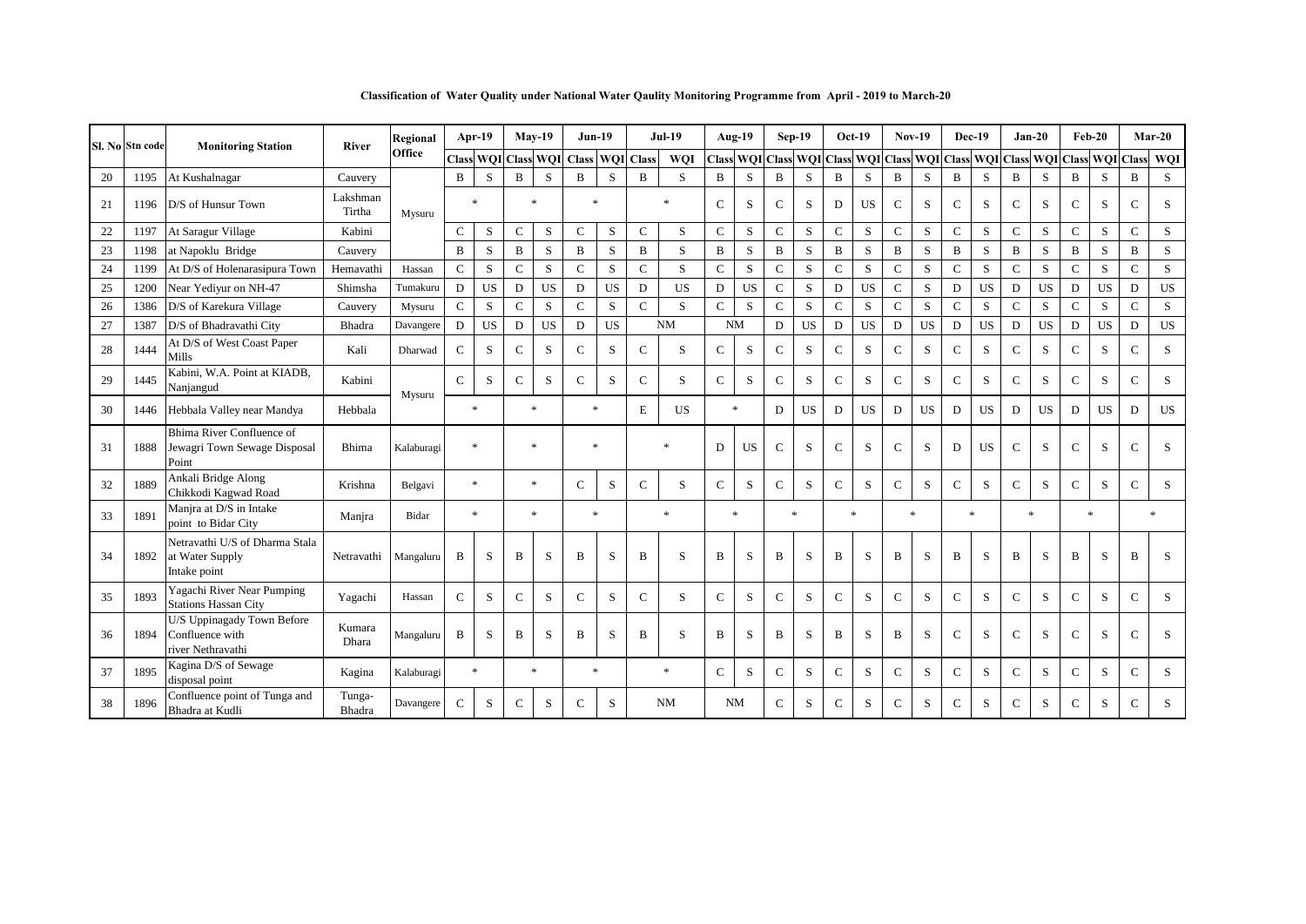| Classification of Water Quality under National Water Qaulity Monitoring Programme from April - 2019 to March-20 |
|-----------------------------------------------------------------------------------------------------------------|
|-----------------------------------------------------------------------------------------------------------------|

|    | Sl. No Stn code | <b>Monitoring Station</b>                                          | <b>River</b>       | Regional   |               | Apr-19    |              | $May-19$  | <b>Jun-19</b>       |    |                  | <b>Jul-19</b> |                                                                                                        | Aug-19    |               | $Sep-19$  |              | $Oct-19$  |              | $Nov-19$  | <b>Dec-19</b> |              | $Jan-20$      |           | $Feb-20$     |           |              | $Mar-20$     |
|----|-----------------|--------------------------------------------------------------------|--------------------|------------|---------------|-----------|--------------|-----------|---------------------|----|------------------|---------------|--------------------------------------------------------------------------------------------------------|-----------|---------------|-----------|--------------|-----------|--------------|-----------|---------------|--------------|---------------|-----------|--------------|-----------|--------------|--------------|
|    |                 |                                                                    |                    | Office     | Class         |           |              |           | WQI Class WQI Class |    | <b>WOI</b> Class | <b>WOI</b>    | Class  WQI   Class   WQI   Class   WQI   Class   WQI   Class   WQI   Class   WQI   Class   WQI   Class |           |               |           |              |           |              |           |               |              |               |           |              |           |              | WQI          |
| 20 | 1195            | At Kushalnagar                                                     | Cauvery            |            | B             | S         | B            | S         | B                   | S  | B                | S             | B                                                                                                      | S         | B             | S         | B            | S         | B            | S         | B             | <sub>S</sub> | B             | S         | B            | S         | B            | S            |
| 21 | 1196            | D/S of Hunsur Town                                                 | Lakshman<br>Tirtha | Mysuru     |               |           |              | $\ast$    | $\ast$              |    |                  | *             | $\mathcal{C}$                                                                                          | S         | $\mathsf{C}$  | S         | D            | <b>US</b> | $\mathbf C$  | S         | $\mathsf{C}$  | S            | $\mathbf C$   | S         | $\mathbf C$  | S         | $\mathsf{C}$ | S            |
| 22 | 1197            | At Saragur Village                                                 | Kabini             |            | $\mathsf{C}$  | S         | $\mathbf C$  | S         | $\mathcal{C}$       | S  | $\mathcal{C}$    | S             | $\mathcal{C}$                                                                                          | S         | $\mathbf C$   | S.        | $\mathbf C$  | S.        | $\mathbf C$  | S.        | $\mathbf C$   | S            | $\mathbf{C}$  | S.        | $\mathbf C$  | S.        | $\mathbf C$  | S            |
| 23 | 1198            | at Napoklu Bridge                                                  | Cauvery            |            | B             | S         | $\, {\bf B}$ | S         | B                   | S  | $\mathbf{B}$     | S             | B                                                                                                      | S         | B             | S         | $\, {\bf B}$ | S         | B            | S         | B             | S            | B             | S         | $\, {\bf B}$ | S         | B            | <sub>S</sub> |
| 24 | 1199            | At D/S of Holenarasipura Town                                      | Hemavathi          | Hassan     | $\mathbf C$   | S         | $\mathbf C$  | S         | $\mathbf C$         | S  | $\mathcal{C}$    | S             | $\mathsf{C}$                                                                                           | S         | $\mathbf C$   | S         | $\mathbf C$  | S         | $\mathbf C$  | S         | $\mathbf{C}$  | S            | $\mathbf C$   | S         | $\mathbf C$  | ${\bf S}$ | $\mathbf C$  | S            |
| 25 | 1200            | Near Yediyur on NH-47                                              | Shimsha            | Tumakuru   | D             | <b>US</b> | $\mathbf D$  | <b>US</b> | $\mathbf D$         | US | D                | <b>US</b>     | D                                                                                                      | <b>US</b> | $\mathbf C$   | S         | $\mathbf D$  | <b>US</b> | $\mathbf C$  | S         | D             | <b>US</b>    | D             | <b>US</b> | D            | US        | D            | <b>US</b>    |
| 26 | 1386            | D/S of Karekura Village                                            | Cauvery            | Mysuru     | $\mathbf C$   | S         | $\mathbf C$  | $\,$ S    | $\mathbf C$         | S  | $\mathsf{C}$     | S             | $\mathsf{C}$                                                                                           | S         | $\mathbf C$   | S         | $\mathsf{C}$ | S         | $\mathsf{C}$ | S         | $\mathbf C$   | S            | $\mathbf C$   | S         | $\mathbf C$  | S         | $\mathbf C$  | S            |
| 27 | 1387            | D/S of Bhadravathi City                                            | Bhadra             | Davangere  | $\mathbf D$   | <b>US</b> | $\mathbf D$  | <b>US</b> | D                   | US |                  | NM            | <b>NM</b>                                                                                              |           | D             | <b>US</b> | D            | <b>US</b> | D            | <b>US</b> | D             | <b>US</b>    | D             | <b>US</b> | D            | <b>US</b> | D            | <b>US</b>    |
| 28 | 1444            | At D/S of West Coast Paper<br>Mills                                | Kali               | Dharwad    | $\mathsf{C}$  | S         | $\mathsf{C}$ | S         | $\mathbf C$         | S  | $\mathcal{C}$    | S             | $\mathsf{C}$                                                                                           | S         | $\mathcal{C}$ | S         | $\mathbf C$  | S         | $\mathsf{C}$ | S         | $\mathsf{C}$  | S            | $\mathsf{C}$  | S         | $\mathsf{C}$ | S         | $\mathbf{C}$ | S            |
| 29 | 1445            | Kabini, W.A. Point at KIADB,<br>Nanjangud                          | Kabini             | Mysuru     | $\mathsf{C}$  | S         | $\mathsf{C}$ | S         | $\mathbf C$         | S  | $\mathcal{C}$    | S             | $\mathsf{C}$                                                                                           | S         | $\mathbf C$   | S         | $\mathsf{C}$ | S         | $\mathsf{C}$ | S         | $\mathsf{C}$  | S            | $\mathsf{C}$  | S         | $\mathbf C$  | S         | $\mathbf{C}$ | S            |
| 30 | 1446            | Hebbala Valley near Mandya                                         | Hebbala            |            |               | $\ast$    |              | $\ast$    | $\ast$              |    | E                | US            |                                                                                                        | $*$       | D             | US.       | D            | <b>US</b> | D            | <b>US</b> | D             | <b>US</b>    | D             | <b>US</b> | D            | US        | D            | US           |
| 31 | 1888            | Bhima River Confluence of<br>Jewagri Town Sewage Disposal<br>Point | Bhima              | Kalaburagi |               | $\ast$    |              | $\ast$    | *                   |    |                  | $\ast$        | D                                                                                                      | US.       | $\mathbf C$   | S         | $\mathsf{C}$ | S         | $\mathsf{C}$ | S         | D             | <b>US</b>    | $\mathbf C$   | S         | $\mathbf C$  | S         | $\mathbf{C}$ | S            |
| 32 | 1889            | Ankali Bridge Along<br>Chikkodi Kagwad Road                        | Krishna            | Belgavi    |               | $\ast$    |              | $\ast$    | $\mathbf C$         | S  | $\mathcal{C}$    | S             | $\mathsf{C}$                                                                                           | S         | $\mathsf{C}$  | S         | $\mathsf{C}$ | S         | $\mathbf C$  | S         | $\mathsf{C}$  | S            | $\mathsf{C}$  | S         | ${\bf C}$    | S         | $\mathbf C$  | S            |
| 33 | 1891            | Manjra at D/S in Intake<br>point to Bidar City                     | Manjra             | Bidar      |               | $\ast$    |              | $\ast$    | $\ast$              |    |                  | $\ast$        |                                                                                                        | $\ast$    |               | $\ast$    |              | $\ast$    | $\ast$       |           | $\ast$        |              | $\ast$        |           | $\ast$       |           |              |              |
| 34 | 1892            | Netravathi U/S of Dharma Stala<br>at Water Supply<br>Intake point  | Netravathi         | Mangaluru  | $\bf{B}$      | S         | B            | S         | B                   | S  | B                | S             | В                                                                                                      | S         | B             | S         | B            | S         | B            | S         | B             | S            | B             | S         | B            | S         | B            | S            |
| 35 | 1893            | Yagachi River Near Pumping<br><b>Stations Hassan City</b>          | Yagachi            | Hassan     | $\mathbf C$   | S         | $\mathsf{C}$ | $\,$ S    | $\mathbf C$         | S  | $\mathcal{C}$    | S             | $\mathsf{C}$                                                                                           | S         | $\mathsf{C}$  | S         | $\mathsf{C}$ | S         | $\mathsf{C}$ | S         | $\mathsf{C}$  | S            | $\mathsf{C}$  | S         | $\mathbf C$  | S         | $\mathbf C$  | S            |
| 36 | 1894            | U/S Uppinagady Town Before<br>Confluence with<br>river Nethravathi | Kumara<br>Dhara    | Mangaluru  | B             | S         | B            | S         | B                   | S  | B                | S             | B                                                                                                      | S         | B             | S         | B            | S         | B            | S         | $\mathsf{C}$  | S            | $\mathsf C$   | S         | $\mathsf{C}$ | S         | $\mathsf{C}$ | S            |
| 37 | 1895            | Kagina D/S of Sewage<br>disposal point                             | Kagina             | Kalaburagi |               | $\ast$    |              | $\ast$    | $\ast$              |    |                  | $\ast$        | $\mathbf C$                                                                                            | S         | $\mathsf{C}$  | S         | $\mathbf C$  | S         | $\mathbf C$  | S         | $\mathsf{C}$  | S            | $\mathcal{C}$ | S         | $\mathbf C$  | S         | $\mathbf{C}$ | S            |
| 38 | 1896            | Confluence point of Tunga and<br>Bhadra at Kudli                   | Tunga-<br>Bhadra   | Davangere  | $\mathcal{C}$ | S         | $\mathsf{C}$ | S         | $\mathcal{C}$       | S  |                  | <b>NM</b>     |                                                                                                        | <b>NM</b> | $\mathbf C$   | S         | $\mathsf{C}$ | S         | $\mathsf{C}$ | S         | $\mathsf{C}$  | S            | $\mathsf{C}$  | S         | $\mathbf{C}$ | S         | $\mathbf{C}$ | S.           |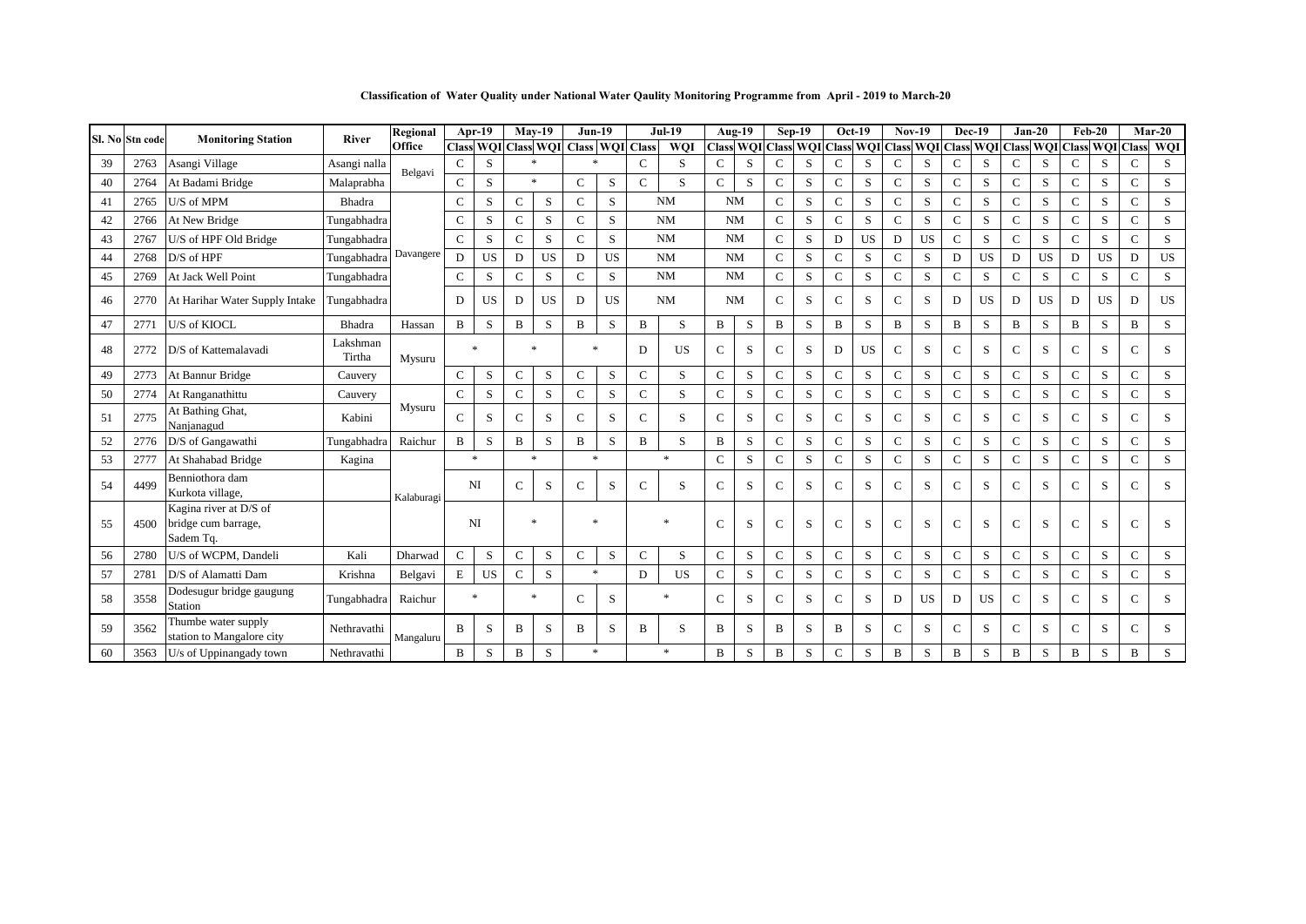**Classification of Water Quality under National Water Qaulity Monitoring Programme from April - 2019 to March-20**

|    | Sl. No Stn code | <b>Monitoring Station</b>                                  | River              | Regional   |               | Apr-19    | $Mav-19$      |           | $Jun-19$                            |           |               | <b>Jul-19</b> |               | Aug-19           | $Sep-19$         |   |              | $Oct-19$  |              | $Nov-19$                                | <b>Dec-19</b> |           | $Jan-20$      |           |              | $Feb-20$         |              | $Mar-20$   |
|----|-----------------|------------------------------------------------------------|--------------------|------------|---------------|-----------|---------------|-----------|-------------------------------------|-----------|---------------|---------------|---------------|------------------|------------------|---|--------------|-----------|--------------|-----------------------------------------|---------------|-----------|---------------|-----------|--------------|------------------|--------------|------------|
|    |                 |                                                            |                    | Office     |               |           |               |           | Class WQI Class WQI Class WQI Class |           |               | WQI           |               | <b>Class WOI</b> | <b>Class WOI</b> |   |              |           |              | Class WQI Class WQI Class WQI Class WQI |               |           |               |           |              | <b>Class WOI</b> | <b>Class</b> | <b>WQI</b> |
| 39 | 2763            | Asangi Village                                             | Asangi nalla       | Belgavi    | $\mathsf{C}$  | S         |               | $\ast$    | $\ast$                              |           | $\mathsf{C}$  | S             | $\mathbf C$   | S                | $\mathsf{C}$     | S | $\mathbf{C}$ | S         | $\mathbf C$  | S                                       | $\mathsf{C}$  | S         | $\mathbf C$   | S         | $\mathbf C$  | S                | $\mathbf C$  | S          |
| 40 | 2764            | At Badami Bridge                                           | Malaprabha         |            | $\mathbf C$   | S         |               | $\ast$    | $\mathbf C$                         | $\,$ S    | $\mathsf{C}$  | S             | $\mathbf{C}$  | S                | $\mathbf C$      | S | $\mathbf{C}$ | S         | $\mathbf{C}$ | S                                       | $\mathbf C$   | S         | $\mathbf{C}$  | S         | $\mathbf C$  | S                | $\mathsf{C}$ | S          |
| 41 | 2765            | U/S of MPM                                                 | Bhadra             |            | $\mathsf{C}$  | S         | $\mathsf{C}$  | S         | $\mathbf C$                         | S         |               | <b>NM</b>     | <b>NM</b>     |                  | $\mathsf{C}$     | S | $\mathbf C$  | S         | $\mathbf C$  | S                                       | $\mathsf{C}$  | $\,$ S    | $\mathbf{C}$  | S         | $\mathbf C$  | S                | $\mathsf{C}$ | S          |
| 42 | 2766            | At New Bridge                                              | Tungabhadra        |            | $\mathsf{C}$  | S         | $\mathsf{C}$  | S         | $\mathbf C$                         | S         |               | <b>NM</b>     |               | <b>NM</b>        | $\mathbf C$      | S | $\mathsf{C}$ | S         | $\mathsf{C}$ | S                                       | $\mathbf C$   | S         | $\mathcal{C}$ | S         | $\mathbf C$  | S                | $\mathbf{C}$ | S          |
| 43 | 2767            | U/S of HPF Old Bridge                                      | Tungabhadra        |            | $\mathsf{C}$  | $\,$ S    | $\mathsf{C}$  | S         | $\mathbf C$                         | S         |               | <b>NM</b>     | <b>NM</b>     |                  | $\mathbf C$      | S | D            | <b>US</b> | D            | <b>US</b>                               | $\mathsf{C}$  | S         | $\mathcal{C}$ | S         | $\mathbf C$  | S                | $\mathbf{C}$ | S          |
| 44 | 2768            | D/S of HPF                                                 | Tungabhadra        | Davangere  | D             | <b>US</b> | D             | US        | D                                   | US        |               | <b>NM</b>     |               | <b>NM</b>        | $\mathbf C$      | S | $\mathbf C$  | S         | $\mathbf C$  | S                                       | D             | US        | D             | US        | D            | <b>US</b>        | D            | US         |
| 45 | 2769            | At Jack Well Point                                         | Tungabhadra        |            | $\mathsf{C}$  | S         | $\mathsf{C}$  | S         | $\mathbf C$                         | S         |               | <b>NM</b>     | <b>NM</b>     |                  | $\mathbf C$      | S | $\mathbf{C}$ | S         | C            | S                                       | $\mathsf{C}$  | S         | $\mathbf C$   | S         | $\mathbf C$  | S                | $\mathbf{C}$ | S          |
| 46 | 2770            | At Harihar Water Supply Intake                             | Tungabhadra        |            | D             | <b>US</b> | D             | <b>US</b> | D                                   | <b>US</b> |               | <b>NM</b>     |               | <b>NM</b>        | $\mathbf C$      | S | $\mathbf{C}$ | S         | $\mathsf{C}$ | S                                       | D             | <b>US</b> | D             | <b>US</b> | D            | <b>US</b>        | D            | <b>US</b>  |
| 47 | 2771            | U/S of KIOCL                                               | Bhadra             | Hassan     | $\bf{B}$      | S         | B             | S         | B                                   | S         | B             | S             | B             | S                | B                | S | B            | S         | B            | S                                       | B             | S         | B             | S         | B            | S                | B            | S          |
| 48 | 2772            | D/S of Kattemalavadi                                       | Lakshman<br>Tirtha | Mysuru     |               | $\ast$    |               | $\ast$    | $\ast$                              |           | D             | <b>US</b>     | $\mathsf{C}$  | S                | $\mathsf{C}$     | S | D            | <b>US</b> | $\mathbf C$  | S                                       | $\mathbf C$   | S         | $\mathcal{C}$ | S         | $\mathbf{C}$ | S.               | $\mathsf{C}$ | S          |
| 49 | 2773            | At Bannur Bridge                                           | Cauvery            |            | $\mathbf C$   | S         | $\mathsf{C}$  | S         | $\mathbf C$                         | S         | $\mathsf{C}$  | S             | $\mathbf C$   | S                | $\mathbf C$      | S | $\mathbf C$  | S         | $\mathbf C$  | S                                       | $\mathbf{C}$  | S         | $\mathbf C$   | S         | $\mathbf C$  | S                | $\mathbf C$  | S          |
| 50 | 2774            | At Ranganathittu                                           | Cauvery            |            | $\mathbf C$   | S         | $\mathsf{C}$  | S         | $\mathcal{C}$                       | S         | $\mathsf{C}$  | S             | $\mathbf C$   | S                | $\mathbf C$      | S | $\mathbf{C}$ | S         | $\mathsf{C}$ | S                                       | $\mathsf{C}$  | S         | $\mathbf C$   | S         | $\mathbf C$  | S                | $\mathbf{C}$ | S          |
| 51 | 2775            | At Bathing Ghat,<br>Nanjanagud                             | Kabini             | Mysuru     | $\mathcal{C}$ | S         | $\mathcal{C}$ | S         | $\mathcal{C}$                       | S         | $\mathcal{C}$ | S             | $\mathbf{C}$  | S                | $\mathcal{C}$    | S | $\mathbf{C}$ | S.        | $\mathbf C$  | S                                       | $\mathcal{C}$ | S         | $\mathsf{C}$  | S         | $\mathsf{C}$ | S.               | $\mathsf{C}$ | S          |
| 52 | 2776            | D/S of Gangawathi                                          | Tungabhadra        | Raichur    | B             | S         | B             | S         | B                                   | S         | B             | S             | B             | S                | C                | S | $\mathbf C$  | S         | $\mathsf{C}$ | S                                       | $\mathbf C$   | S         | $\mathbf C$   | S         | $\mathbf C$  | S                | $\mathbf C$  | S          |
| 53 | 2777            | At Shahabad Bridge                                         | Kagina             |            |               | $\ast$    |               | $\ast$    | $\ast$                              |           |               | $\ast$        | $\mathcal{C}$ | S                | $\mathsf{C}$     | S | $\mathsf{C}$ | S         | $\mathsf{C}$ | S                                       | $\mathsf{C}$  | S         | $\mathsf{C}$  | S         | $\mathsf{C}$ | S                | $\mathbf{C}$ | S          |
| 54 | 4499            | Benniothora dam<br>Kurkota village,                        |                    | Kalaburagi |               | NI        | $\mathbf{C}$  | S         | C                                   | S         | $\mathsf{C}$  | S             | C             | S                | $\mathsf{C}$     | S | $\mathbf C$  | S         | $\mathsf{C}$ | S                                       | $\mathsf{C}$  | S         | $\mathsf{C}$  | S         | $\mathbf C$  | S                | $\mathsf{C}$ | S          |
| 55 | 4500            | Kagina river at D/S of<br>bridge cum barrage,<br>Sadem Tq. |                    |            |               | NI        |               | $\ast$    | $\ast$                              |           |               |               | $\mathbf C$   | S                | C                | S | $\mathbf C$  | S         | $\mathsf{C}$ | S                                       | $\mathsf{C}$  | S         | $\mathsf{C}$  | S         | $\mathsf{C}$ | S                | $\mathsf{C}$ | S          |
| 56 | 2780            | U/S of WCPM, Dandeli                                       | Kali               | Dharwad    | $\mathbf C$   | $\,$ S    | $\mathbf C$   | ${\bf S}$ | $\mathbf C$                         | S         | $\mathbf C$   | S             | $\mathbf C$   | S                | ${\bf C}$        | S | $\mathbf C$  | S         | $\mathbf C$  | S                                       | $\mathbf C$   | S         | $\mathbf C$   | S         | ${\bf C}$    | ${\bf S}$        | $\mathbf C$  | S          |
| 57 | 2781            | D/S of Alamatti Dam                                        | Krishna            | Belgavi    | E             | US        | $\mathbf C$   | $\,$ S    | $\ast$                              |           | D             | US            | $\mathbf C$   | S                | $\mathbf C$      | S | $\mathbf{C}$ | S         | $\mathbf C$  | S                                       | $\mathbf C$   | S         | $\mathbf C$   | S         | $\mathbf C$  | S                | $\mathsf{C}$ | S          |
| 58 | 3558            | Dodesugur bridge gaugung<br>Station                        | Tungabhadra        | Raichur    |               | $\ast$    |               | $\ast$    | $\mathcal{C}$                       | S         |               | $\ast$        | $\mathbf{C}$  | S                | $\mathsf{C}$     | S | C            | S         | D            | <b>US</b>                               | D             | <b>US</b> | C             | S         | $\mathsf{C}$ | S                | $\mathsf{C}$ | S          |
| 59 | 3562            | Thumbe water supply<br>station to Mangalore city           | Nethravathi        | Mangaluru  | B             | S         | B             | S         | B                                   | S         | B             | S             | B             | S                | B                | S | B            | S         | $\mathsf{C}$ | S                                       | $\mathbf C$   | S         | C             | S         | $\mathsf{C}$ | S                | $\mathsf{C}$ | S          |
| 60 | 3563            | U/s of Uppinangady town                                    | Nethravathi        |            | B             | S         | $\, {\bf B}$  | S         | $\ast$                              |           |               | $\ast$        | B             | S                | B                | S | $\mathsf{C}$ | S         | $\, {\bf B}$ | S                                       | B             | S         | B             | S         | B            | S                | B            | S          |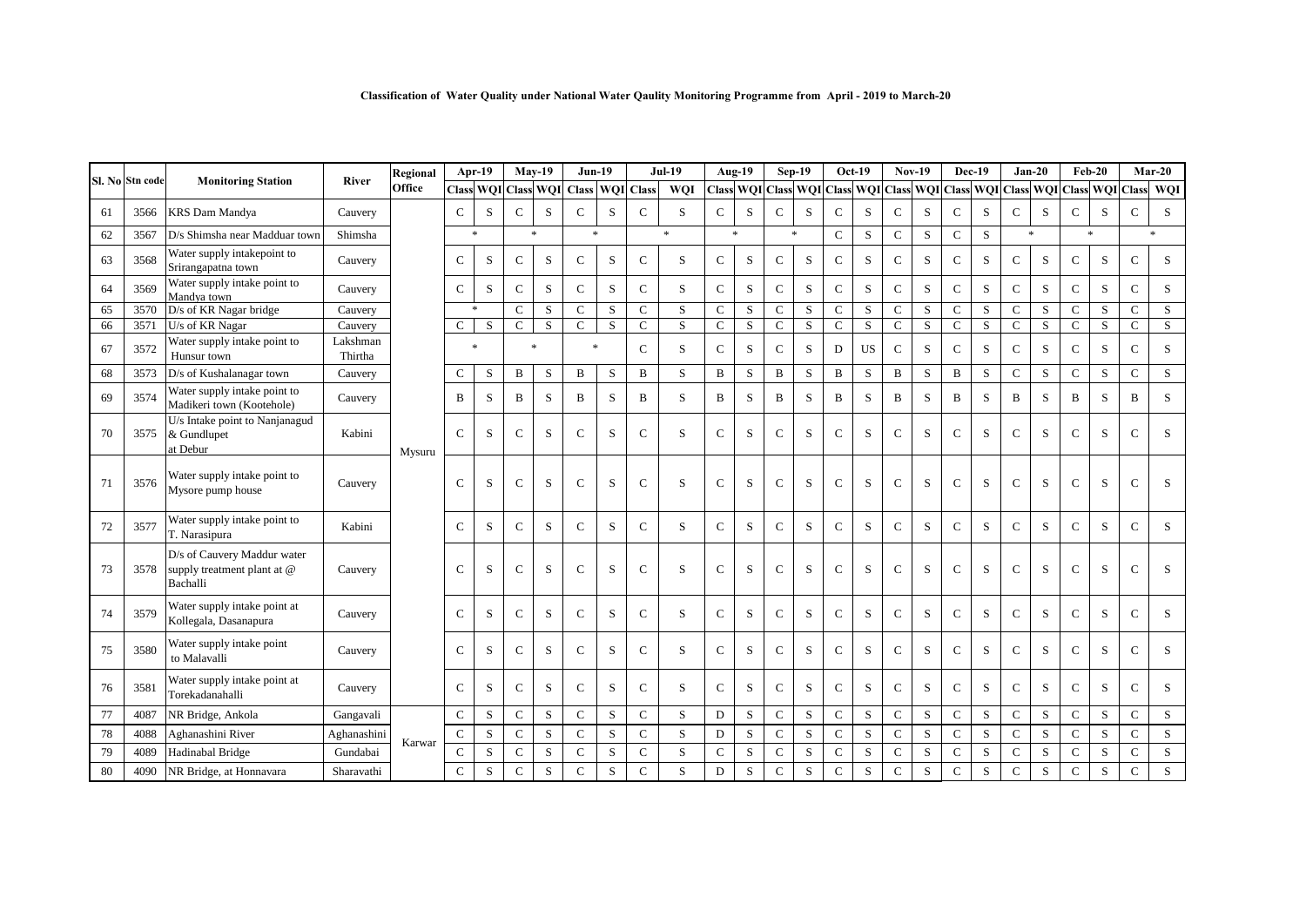|    |                 |                                                                        |                     | Regional |               | Apr-19       |               | $Mav-19$                  | $Jun-19$      |             |                  | <b>Jul-19</b> |               | Aug-19 | Sep-19         |             |               | Oct-19  |                | <b>Nov-19</b>                                           |              | <b>Dec-19</b> |               | $Jan-20$    |              | $Feb-20$                   |                | $Mar-20$ |
|----|-----------------|------------------------------------------------------------------------|---------------------|----------|---------------|--------------|---------------|---------------------------|---------------|-------------|------------------|---------------|---------------|--------|----------------|-------------|---------------|---------|----------------|---------------------------------------------------------|--------------|---------------|---------------|-------------|--------------|----------------------------|----------------|----------|
|    | Sl. No Stn code | <b>Monitoring Station</b>                                              | River               | Office   |               |              |               | Class WQI Class WQI Class |               |             | <b>WQI</b> Class | WQI           |               |        |                |             |               |         |                | Class WQI Class WQI Class WQI Class WQI Class WQI Class |              |               |               |             |              | <b>WOI</b> Class WOI Class |                | WOI      |
| 61 | 3566            | <b>KRS</b> Dam Mandya                                                  | Cauvery             |          | $\mathsf{C}$  | S            | $\mathsf{C}$  | S                         | $\mathbf C$   | S           | $\mathsf{C}$     | S             | $\mathbf C$   | S      | ${\bf C}$      | S           | $\mathsf{C}$  | S       | $\mathbf C$    | S                                                       | $\mathbf C$  | S             | $\mathbf C$   | S           | $\mathsf{C}$ | S                          | $\mathbf C$    | $\,$ S   |
| 62 | 3567            | D/s Shimsha near Madduar town                                          | Shimsha             |          |               | $\ast$       |               | $\ast$                    | $\ast$        |             |                  | $\ast$        |               | $\ast$ |                | $\ast$      | $\mathbf C$   | S       | $\mathbf{C}$   | S                                                       | $\mathbf C$  | S             | $\ast$        |             |              | $\ast$                     |                | $\ast$   |
| 63 | 3568            | Water supply intakepoint to<br>Srirangapatna town                      | Cauvery             |          | $\mathsf{C}$  | $\,$ S       | $\mathbf C$   | S                         | $\mathcal{C}$ | S           | $\mathcal{C}$    | S             | $\mathbf C$   | S      | $\mathbf C$    | S           | $\mathsf{C}$  | S       | $\mathsf{C}$   | S                                                       | $\mathbf C$  | S             | $\mathbf C$   | S           | $\mathbf C$  | S                          | ${\bf C}$      | S        |
| 64 | 3569            | Water supply intake point to<br>Mandva town                            | Cauvery             |          | $\mathsf{C}$  | S            | $\mathbf C$   | S                         | $\mathsf{C}$  | S           | $\mathbf C$      | S             | $\mathbf C$   | S      | $\mathsf{C}$   | S           | $\mathsf{C}$  | S       | $\mathsf{C}$   | S                                                       | $\mathbf C$  | S             | $\mathbf C$   | S           | $\mathbf C$  | S                          | $\mathbf C$    | S        |
| 65 | 3570            | D/s of KR Nagar bridge                                                 | Cauvery             |          |               | $\ast$       | $\mathsf{C}$  | S                         | $\mathbf C$   | S           | $\mathcal{C}$    | S             | $\mathsf{C}$  | S      | $\mathsf{C}$   | S           | $\mathsf{C}$  | S       | $\mathsf{C}$   | S                                                       | $\mathbf C$  | S             | $\mathsf{C}$  | S           | $\mathbf C$  | S                          | $\mathbf C$    | S        |
| 66 | 3571            | U/s of KR Nagar                                                        | Cauvery             |          | $\mathsf{C}$  | <sub>S</sub> | $\mathcal{C}$ | S                         | $\mathsf{C}$  | S           | $\mathsf{C}$     | S             | $\mathbf C$   | $\,$ S | $\overline{C}$ | S           | $\mathbf{C}$  | S       | $\overline{C}$ | S.                                                      | $\mathbf C$  | S             | $\mathbf{C}$  | S           | $\mathsf{C}$ | S                          | $\mathbf{C}$   | S        |
| 67 | 3572            | Water supply intake point to<br>Hunsur town                            | Lakshman<br>Thirtha |          |               | $\ast$       |               | $\ast$                    | $\ast$        |             | $\mathcal{C}$    | S             | $\mathsf{C}$  | S      | $\mathbf C$    | S           | D             | US.     | $\mathsf{C}$   | S                                                       | $\mathbf C$  | S             | $\mathbf{C}$  | S           | $\mathbf C$  | S                          | $\mathbf C$    | S        |
| 68 | 3573            | D/s of Kushalanagar town                                               | Cauvery             |          | $\mathsf{C}$  | S            | $\, {\bf B}$  | S                         | $\, {\bf B}$  | $\,$ S      | B                | S             | B             | S      | B              | $\mathbf S$ | $\, {\bf B}$  | S       | $\, {\bf B}$   | $\mathbf S$                                             | B            | $\mathbf S$   | $\mathbf C$   | $\mathbf S$ | $\mathbf C$  | $\rm S$                    | $\mathbf C$    | S        |
| 69 | 3574            | Water supply intake point to<br>Madikeri town (Kootehole)              | Cauvery             |          | B             | S            | $\bf{B}$      | S                         | B             | S           | B                | S             | B             | S      | B              | S           | B             | S       | B              | S                                                       | B            | S             | B             | S           | B            | S                          | B              | S        |
| 70 | 3575            | U/s Intake point to Nanjanagud<br>& Gundlupet<br>at Debur              | Kabini              | Mysuru   | $\mathsf{C}$  | S            | $\mathbf C$   | S                         | $\mathcal{C}$ | S           | $\mathcal{C}$    | S             | $\mathbf C$   | S      | $\mathsf{C}$   | S           | $\mathsf{C}$  | S       | $\mathbf C$    | S                                                       | $\mathbf C$  | S             | $\mathbf C$   | S           | $\mathbf C$  | S                          | $\mathbf C$    | S        |
| 71 | 3576            | Water supply intake point to<br>Mysore pump house                      | Cauvery             |          | $\mathcal{C}$ | S            | $\mathsf{C}$  | S                         | $\mathbf C$   | S           | $\mathsf{C}$     | S             | $\mathcal{C}$ | S      | $\mathbf C$    | S           | $\mathbf C$   | S       | $\mathsf{C}$   | S                                                       | $\mathsf{C}$ | S             | $\mathbf C$   | S           | $\mathsf{C}$ | S                          | $\mathsf{C}$   | S        |
| 72 | 3577            | Water supply intake point to<br>T. Narasipura                          | Kabini              |          | $\mathsf{C}$  | S            | $\mathsf{C}$  | S                         | $\mathsf{C}$  | S           | $\mathsf{C}$     | S             | C             | S      | $\mathbf C$    | S           | $\mathsf{C}$  | S       | $\mathsf{C}$   | S                                                       | $\mathbf C$  | S             | $\mathbf C$   | S           | ${\bf C}$    | S                          | $\mathsf{C}$   | S        |
| 73 | 3578            | D/s of Cauvery Maddur water<br>supply treatment plant at @<br>Bachalli | Cauvery             |          | C             | S            | $\mathsf{C}$  | S                         | $\mathsf{C}$  | S           | $\mathsf{C}$     | S             | $\mathbf C$   | S      | $\mathsf{C}$   | S           | $\mathsf{C}$  | S       | $\mathsf{C}$   | S                                                       | $\mathsf{C}$ | S             | $\mathsf{C}$  | S           | $\mathsf{C}$ | S                          | $\mathbf C$    | S        |
| 74 | 3579            | Water supply intake point at<br>Kollegala, Dasanapura                  | Cauvery             |          | $\mathsf{C}$  | S            | $\mathsf{C}$  | S                         | $\mathcal{C}$ | S           | $\mathcal{C}$    | S.            | $\mathbf C$   | S      | $\mathbf C$    | S           | $\mathcal{C}$ | S       | $\mathsf{C}$   | S                                                       | $\mathsf{C}$ | S             | $\mathsf{C}$  | S           | $\mathbf C$  | S                          | $\mathsf{C}$   | S        |
| 75 | 3580            | Water supply intake point<br>to Malavalli                              | Cauvery             |          | $\mathcal{C}$ | S            | $\mathsf{C}$  | S                         | $\mathsf{C}$  | S           | $\mathcal{C}$    | S             | $\mathbf C$   | S      | $\mathbf C$    | S           | $\mathsf{C}$  | S       | $\mathsf{C}$   | S                                                       | $\mathbf C$  | S             | $\mathsf{C}$  | S           | $\mathsf{C}$ | S                          | $\mathbf C$    | S        |
| 76 | 3581            | Water supply intake point at<br>Torekadanahalli                        | Cauvery             |          | $\mathsf{C}$  | $\,$ S       | $\mathsf{C}$  | S                         | $\mathsf{C}$  | S           | $\mathsf{C}$     | S             | $\mathsf{C}$  | S.     | $\mathbf C$    | S           | $\mathsf{C}$  | S       | $\mathsf{C}$   | S                                                       | $\mathbf C$  | S             | $\mathsf{C}$  | S           | $\mathsf{C}$ | S                          | $\mathsf{C}$   | S        |
| 77 | 4087            | NR Bridge, Ankola                                                      | Gangavali           |          | $\mathbf C$   | S            | $\mathbf C$   | S                         | $\mathcal{C}$ | S           | $\mathsf{C}$     | S             | D             | S      | $\mathbf C$    | S           | $\mathbf C$   | S       | $\mathbf{C}$   | S                                                       | $\mathbf C$  | S             | $\mathsf{C}$  | S           | $\mathbf C$  | S                          | $\mathbf C$    | S        |
| 78 | 4088            | Aghanashini River                                                      | Aghanashini         |          | $\mathbf C$   | $\,$ S       | $\mathbf C$   | S                         | $\mathsf{C}$  | $\,$ S      | $\mathsf{C}$     | S             | D             | S      | $\mathbf C$    | S           | $\mathbf C$   | S       | $\mathbf{C}$   | S                                                       | $\mathbf C$  | S             | $\mathbf C$   | S           | $\mathbf C$  | S                          | $\mathbf{C}$   | S        |
| 79 | 4089            | Hadinabal Bridge                                                       | Gundabai            | Karwar   | $\mathbf C$   | S            | $\mathbf C$   | S                         | $\mathbf C$   | $\,$ S      | $\mathsf{C}$     | S             | $\mathbf{C}$  | S      | $\mathsf{C}$   | S           | $\mathbf C$   | S       | $\mathbf{C}$   | S                                                       | $\mathsf{C}$ | S             | $\mathbf{C}$  | $\mathbf S$ | $\mathbf C$  | S                          | $\mathbf C$    | S        |
| 80 | 4090            | NR Bridge, at Honnavara                                                | Sharavathi          |          | $\mathbf{C}$  | S            | $\mathsf C$   | S                         | $\mathbf C$   | $\mathbf S$ | $\mathsf{C}$     | S             | $\mathbf D$   | $\,$ S | $\mathbf C$    | $\mathbf S$ | $\mathbf C$   | $\rm S$ | $\mathbf C$    | $\rm S$                                                 | $\mathbf C$  | S             | $\mathcal{C}$ | $\mathbf S$ | $\mathbf C$  | S                          | $\overline{C}$ | S        |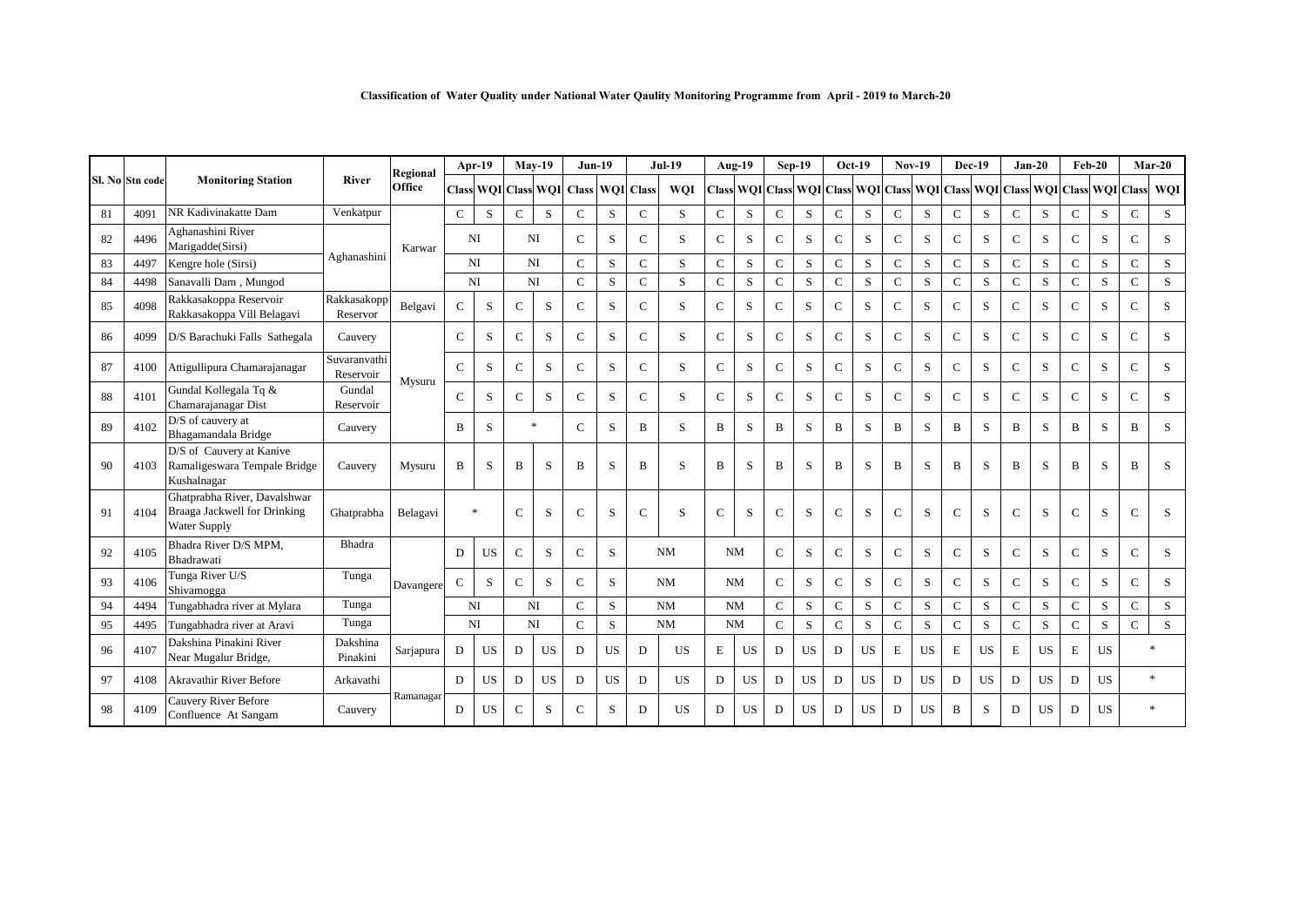|    |                 |                                                                                     |                           | Regional  |              | Apr-19         |               | $Mav-19$ | $Jun-19$                            |              |               | $Jul-19$   |               | Aug-19                 |              | $Sep-19$  |              | $Oct-19$                                | $Nov-19$      |           | <b>Dec-19</b> |           | $Jan-20$      |           |               | $Feb-20$                          |               | $Mar-20$ |
|----|-----------------|-------------------------------------------------------------------------------------|---------------------------|-----------|--------------|----------------|---------------|----------|-------------------------------------|--------------|---------------|------------|---------------|------------------------|--------------|-----------|--------------|-----------------------------------------|---------------|-----------|---------------|-----------|---------------|-----------|---------------|-----------------------------------|---------------|----------|
|    | Sl. No Stn code | <b>Monitoring Station</b>                                                           | River                     | Office    |              |                |               |          | Class WOI Class WOI Class WOI Class |              |               | <b>WOI</b> |               | <b>Class WOI Class</b> |              |           |              | WOI Class WOI Class WOI Class WOI Class |               |           |               |           |               |           |               | <b>WOI</b> Class <b>WOI</b> Class |               | WQI      |
| 81 | 4091            | NR Kadivinakatte Dam                                                                | Venkatpur                 |           | $\mathsf{C}$ | S              | $\mathcal{C}$ | S        | $\mathbf C$                         | S            | $\mathsf{C}$  | S          | $\mathsf{C}$  | S                      | $\mathbf{C}$ | S         | $\mathbf C$  | S                                       | $\mathsf{C}$  | S         | $\mathbf C$   | S         | $\mathbf C$   | S         | $\mathbf C$   | S                                 | $\mathbf{C}$  | S        |
| 82 | 4496            | Aghanashini River<br>Marigadde(Sirsi)                                               |                           | Karwar    |              | <b>NI</b>      | <b>NI</b>     |          | $\mathcal{C}$                       | S            | $\mathcal{C}$ | S          | $\mathcal{C}$ | S                      | C            | S         | $\mathsf{C}$ | S                                       | $\mathsf{C}$  | S         | $\mathsf{C}$  | S         | $\mathcal{C}$ | S         | $\mathsf{C}$  | S                                 | $\mathsf{C}$  | S        |
| 83 | 4497            | Kengre hole (Sirsi)                                                                 | Aghanashini               |           |              | NI             | NI            |          | $\mathbf C$                         | S            | $\mathbf C$   | S          | $\mathsf{C}$  | S                      | $\mathbf C$  | S         | $\mathsf{C}$ | S                                       | $\mathsf{C}$  | S         | $\mathsf{C}$  | S         | $\mathbf C$   | S         | $\mathbf C$   | S                                 | $\mathbf C$   | S        |
| 84 | 4498            | Sanavalli Dam, Mungod                                                               |                           |           |              | N <sub>I</sub> | NI            |          | $\mathbf C$                         | S            | $\mathsf{C}$  | S          | $\mathsf{C}$  | S                      | $\mathbf{C}$ | S.        | $\mathbf C$  | S                                       | $\mathbf C$   | S         | $\mathbf C$   | S.        | $\mathbf C$   | S         | $\mathbf C$   | S.                                | $\mathsf{C}$  | S        |
| 85 | 4098            | Rakkasakoppa Reservoir<br>Rakkasakoppa Vill Belagavi                                | Rakkasakopp<br>Reservor   | Belgavi   | $\mathsf{C}$ | S              | $\mathcal{C}$ | S        | $\mathcal{C}$                       | S            | $\mathsf{C}$  | S          | $\mathsf{C}$  | S                      | $\mathbf{C}$ | S         | $\mathbf C$  | S                                       | $\mathcal{C}$ | S         | $\mathsf{C}$  | S         | $\mathcal{C}$ | S         | $\mathsf{C}$  | S                                 | $\mathcal{C}$ | S        |
| 86 | 4099            | D/S Barachuki Falls Sathegala                                                       | Cauvery                   |           | $\mathsf{C}$ | S              | $\mathbf C$   | $\,$ S   | $\mathbf C$                         | S            | $\mathsf{C}$  | S          | $\mathsf{C}$  | S                      | $\mathbf C$  | S         | $\mathbf{C}$ | S                                       | $\mathbf C$   | S         | $\mathsf C$   | S         | $\mathbf C$   | S         | $\mathbf C$   | S                                 | $\mathbf{C}$  | S        |
| 87 | 4100            | Attigullipura Chamarajanagar                                                        | Suvaranvathi<br>Reservoir | Mysuru    | $\mathsf{C}$ | S              | $\mathbf C$   | S        | $\mathbf C$                         | S            | $\mathsf{C}$  | S          | $\mathsf{C}$  | S                      | $\mathbf{C}$ | S         | $\mathbf{C}$ | S                                       | $\mathbf C$   | S         | $\mathbf C$   | S         | $\mathbf C$   | S         | $\mathbf C$   | S                                 | $\mathbf{C}$  | S        |
| 88 | 4101            | Gundal Kollegala Tq &<br>Chamarajanagar Dist                                        | Gundal<br>Reservoir       |           | $\mathbf C$  | S              | $\mathsf{C}$  | S        | $\mathbf C$                         | S            | $\mathsf{C}$  | S          | $\mathsf{C}$  | S.                     | $\mathbf{C}$ | S.        | $\mathbf{C}$ | S.                                      | $\mathsf{C}$  | S         | $\mathsf C$   | S.        | $\mathsf{C}$  | S         | $\mathcal{C}$ | S                                 | $\mathsf{C}$  | S        |
| 89 | 4102            | D/S of cauvery at<br>Bhagamandala Bridge                                            | Cauvery                   |           | B            | S              |               | $\ast$   | $\mathcal{C}$                       | <sub>S</sub> | B             | S          | B             | S.                     | B            | S         | B            | S.                                      | B             | S         | B             | S         | B             | S         | B             | S                                 | B             | S        |
| 90 | 4103            | D/S of Cauvery at Kanive<br>Ramaligeswara Tempale Bridge<br>Kushalnagar             | Cauvery                   | Mysuru    | B            | S              | B             | S        | B                                   | S            | $\mathbf{B}$  | S          | B             | S                      | B            | S         | B            | S                                       | B             | S         | $\bf{B}$      | S         | B             | S         | B             | S                                 | B             | S        |
| 91 | 4104            | Ghatprabha River, Davalshwar<br>Braaga Jackwell for Drinking<br><b>Water Supply</b> | Ghatprabha                | Belagavi  |              | $\ast$         | $\mathcal{C}$ | S        | $\mathbf C$                         | S            | $\mathsf{C}$  | S          | $\mathsf{C}$  | S                      | $\mathbf C$  | S         | $\mathsf{C}$ | S                                       | $\mathsf{C}$  | S         | $\mathcal{C}$ | S         | $\mathcal{C}$ | S         | $\mathcal{C}$ | S                                 | $\mathsf{C}$  | S        |
| 92 | 4105            | Bhadra River D/S MPM,<br>Bhadrawati                                                 | Bhadra                    |           | D            | <b>US</b>      | $\mathsf{C}$  | S        | $\mathcal{C}$                       | S            |               | NM         |               | NM                     | C            | S         | $\mathsf{C}$ | S                                       | $\mathsf{C}$  | S         | $\mathbf C$   | S         | $\mathbf C$   | S         | $\mathbf C$   | $\mathbf S$                       | $\mathsf{C}$  | S        |
| 93 | 4106            | Tunga River U/S<br>Shivamogga                                                       | Tunga                     | Davangere | $\mathbf C$  | S              | $\mathsf{C}$  | $\,$ S   | $\mathcal{C}$                       | S            |               | NM         |               | NM                     | $\mathbf{C}$ | S         | $\mathbf{C}$ | S                                       | $\mathbf C$   | S         | $\mathbf C$   | S         | $\mathbf C$   | S         | $\mathbf C$   | S                                 | $\mathsf{C}$  | S        |
| 94 | 4494            | Tungabhadra river at Mylara                                                         | Tunga                     |           |              | NI             | <b>NI</b>     |          | $\mathcal{C}$                       | S            |               | NM         |               | NM                     | $\mathbf{C}$ | S         | $\mathsf{C}$ | S                                       | $\mathsf{C}$  | S         | $\mathbf C$   | S         | $\mathbf C$   | S         | $\mathsf{C}$  | S                                 | $\mathsf{C}$  | S        |
| 95 | 4495            | Tungabhadra river at Aravi                                                          | Tunga                     |           |              | N <sub>I</sub> | NI            |          | $\mathcal{C}$                       | S            |               | $\rm{NM}$  |               | NM                     | $\mathbf{C}$ | S         | $\mathsf{C}$ | S                                       | $\mathbf C$   | S         | $\mathbf C$   | S         | $\mathbf C$   | S         | $\mathsf{C}$  | S                                 | $\mathsf{C}$  | S        |
| 96 | 4107            | Dakshina Pinakini River<br>Near Mugalur Bridge,                                     | Dakshina<br>Pinakini      | Sarjapura | D            | <b>US</b>      | D             | US       | D                                   | <b>US</b>    | D             | <b>US</b>  | E             | <b>US</b>              | D            | <b>US</b> | D            | <b>US</b>                               | E             | <b>US</b> | $\mathbf E$   | <b>US</b> | E             | <b>US</b> | E             | US                                |               | $\ast$   |
| 97 | 4108            | Akravathir River Before                                                             | Arkavathi                 |           | D            | US             | D             | US       | D                                   | <b>US</b>    | D             | <b>US</b>  | D             | US                     | D            | <b>US</b> | D            | <b>US</b>                               | D             | <b>US</b> | D             | <b>US</b> | D             | <b>US</b> | D             | <b>US</b>                         |               | $\ast$   |
| 98 | 4109            | Cauvery River Before<br>Confluence At Sangam                                        | Cauvery                   | Ramanagar | D            | <b>US</b>      | $\mathbf C$   | S        | $\mathsf{C}$                        | S            | D             | US.        | D             | <b>US</b>              | D            | <b>US</b> | D            | <b>US</b>                               | D             | <b>US</b> | B             | S         | D             | <b>US</b> | D             | <b>US</b>                         |               | $\ast$   |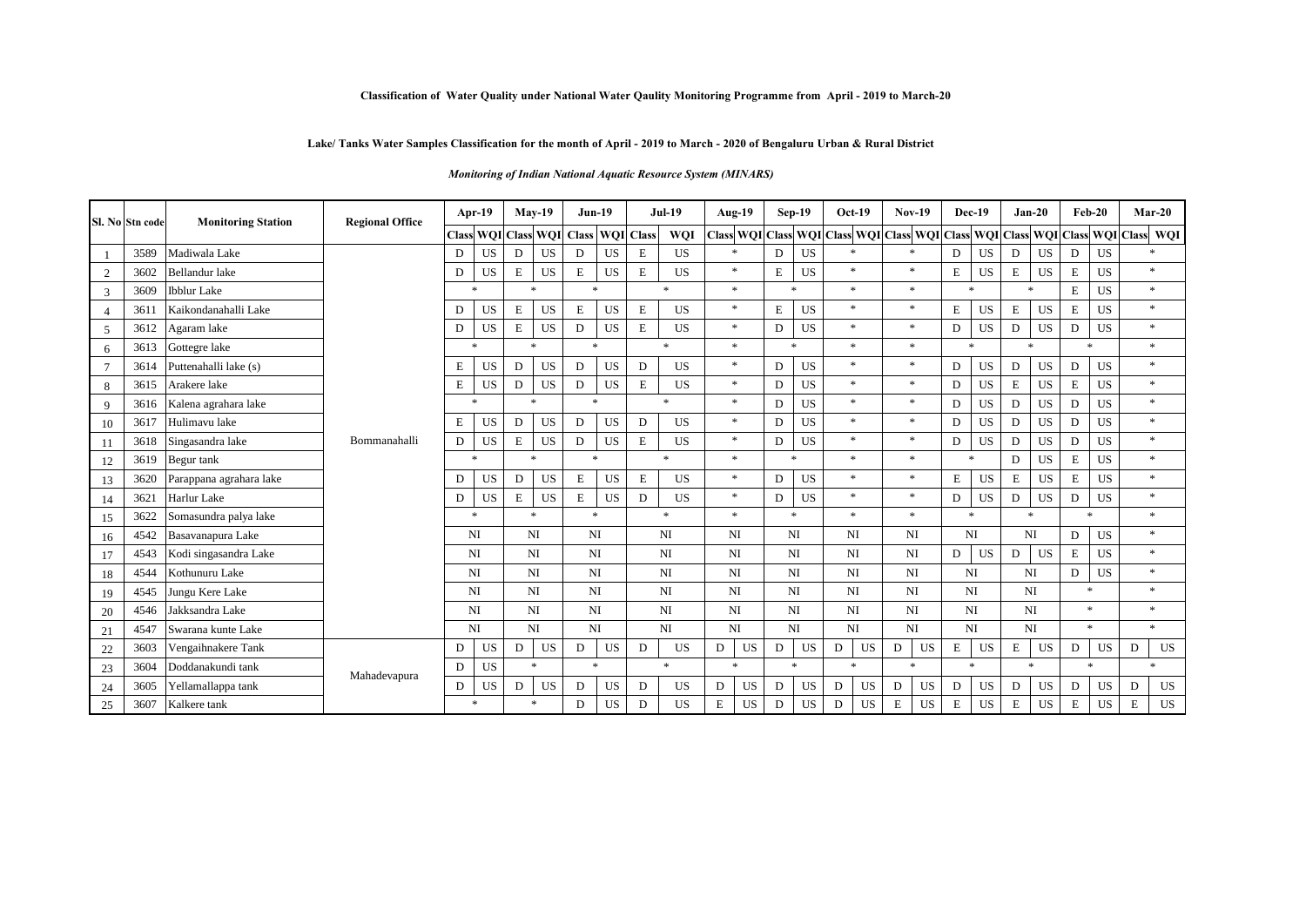### **Classification of Water Quality under National Water Qaulity Monitoring Programme from April - 2019 to March-20**

## **Lake/ Tanks Water Samples Classification for the month of April - 2019 to March - 2020 of Bengaluru Urban & Rural District**

*Monitoring of Indian National Aquatic Resource System (MINARS)* 

|                | Sl. No Stn code | <b>Monitoring Station</b> | <b>Regional Office</b> |              | Apr- $19$      |             | <b>May-19</b>       | $Jun-19$    |           |                  | <b>Jul-19</b> | Aug-19                 |           |             | $Sep-19$            | $Oct-19$                                                    |    | <b>Nov-19</b>       |    | Dec-19      |           |             | $Jan-20$  |             | $Feb-20$            | $Mar-20$          |
|----------------|-----------------|---------------------------|------------------------|--------------|----------------|-------------|---------------------|-------------|-----------|------------------|---------------|------------------------|-----------|-------------|---------------------|-------------------------------------------------------------|----|---------------------|----|-------------|-----------|-------------|-----------|-------------|---------------------|-------------------|
|                |                 |                           |                        | <b>Class</b> |                |             | WQI Class WQI Class |             |           | <b>WOI</b> Class | WQI           | <b>Class WQI Class</b> |           |             |                     | WQI Class WQI Class WQI Class WQI Class WQI Class WQI Class |    |                     |    |             |           |             |           |             |                     | WQI               |
|                | 3589            | Madiwala Lake             |                        | D            | <b>US</b>      | D           | <b>US</b>           | D           | US        | E                | <b>US</b>     | $\star$                |           | D           | US                  | $\ast$                                                      |    | $\ast$              |    | D           | <b>US</b> | D           | <b>US</b> | D           | US                  | $\ast$            |
| 2              | 3602            | <b>Bellandur</b> lake     |                        | D            | <b>US</b>      | $\mathbf E$ | US                  | $\mathbf E$ | US        | E                | US            | $*$                    |           | E           | <b>US</b>           | $\ast$                                                      |    | $\ast$              |    | Е           | <b>US</b> | $\mathbf E$ | <b>US</b> | $\mathbf E$ | US                  | $\ast$            |
| 3              | 3609            | <b>Ibblur</b> Lake        |                        |              | $\ast$         |             | $\star$             | $\ast$      |           |                  | $*$           | $\star$                |           |             | $\ast$              | $\ast$                                                      |    | $\ast$              |    | $\ast$      |           |             | $\ast$    | $\mathbf E$ | <b>US</b>           | $\ast$            |
| $\overline{4}$ | 361             | Kaikondanahalli Lake      |                        | D            | <b>US</b>      | $\mathbf E$ | <b>US</b>           | E           | US        | E                | <b>US</b>     | $\ast$                 |           | Е           | US                  | $\ast$                                                      |    | $\ast$              |    | E           | <b>US</b> | $\mathbf E$ | <b>US</b> | $\mathbf E$ | <b>US</b>           | $\ast$            |
| -5             | 3612            | Agaram lake               |                        | D            | <b>US</b>      | $\mathbf E$ | <b>US</b>           | D           | US        | $\mathbf E$      | <b>US</b>     | $*$                    |           | D           | US                  | $\ast$                                                      |    | $\ast$              |    | D           | <b>US</b> | D           | <b>US</b> | D           | US                  | $\ast$            |
| 6              | 3613            | Gottegre lake             |                        |              | $\ast$         |             | $\ast$              | $*$         |           |                  | $*$           | $*$                    |           |             | $\ast$              | $\ast$                                                      |    | $\ast$              |    | $\ast$      |           |             | $\ast$    |             | $\ast$              | $\ast$            |
|                | 3614            | Puttenahalli lake (s)     |                        | $\mathbf E$  | <b>US</b>      | D           | <b>US</b>           | D           | US        | D                | US            | $\ast$                 |           | D           | <b>US</b>           | $\ast$                                                      |    | $\ast$              |    | D           | <b>US</b> | D           | <b>US</b> | ${\rm D}$   | US                  | $\ast$            |
| 8              | 3615            | Arakere lake              |                        | E            | <b>US</b>      | D           | <b>US</b>           | D           | US        | E                | <b>US</b>     | $*$                    |           | $\mathbf D$ | <b>US</b>           | $\ast$                                                      |    | $\ast$              |    | D           | <b>US</b> | $\mathbf E$ | <b>US</b> | $\mathbf E$ | <b>US</b>           | $\ast$            |
| 9              | 3616            | Kalena agrahara lake      |                        |              | $\ast$         |             | $\ast$              | $\ast$      |           |                  | $*$           | $\ast$                 |           | D           | US                  | $\ast$                                                      |    | $\ast$              |    | D           | <b>US</b> | D           | <b>US</b> | D           | <b>US</b>           | $\ast$            |
| 10             | 3617            | Hulimavu lake             |                        | Ε            | US             | D           | US                  | D           | <b>US</b> | D                | <b>US</b>     | $\ast$                 |           | D           | <b>US</b>           | $\ast$                                                      |    | $\ast$              |    | D           | US        | D           | US        | D           | US                  | $\ast$            |
| 11             | 3618            | Singasandra lake          | Bommanahalli           | D            | <b>US</b>      | $\mathbf E$ | <b>US</b>           | D           | US        | E                | <b>US</b>     | $*$                    |           | D           | US                  | $\ast$                                                      |    | $\ast$              |    | D           | <b>US</b> | D           | <b>US</b> | D           | <b>US</b>           | $\ast$            |
| 12             | 3619            | Begur tank                |                        |              | 米              | <b>sk</b>   |                     | $\ast$      |           |                  | $*$           | $\ast$                 |           |             | $\ast$              | $\ast$                                                      |    | $\ast$              |    | $\ast$      |           | D           | <b>US</b> | $\mathbf E$ | <b>US</b>           | $\ast$            |
| 13             | 3620            | Parappana agrahara lake   |                        | D            | <b>US</b>      | D           | <b>US</b>           | E           | <b>US</b> | $\mathbf E$      | <b>US</b>     | $*$                    |           | D           | US                  | $\ast$                                                      |    | $\ast$              |    | $\mathbf E$ | <b>US</b> | $\mathbf E$ | <b>US</b> | $\mathbf E$ | <b>US</b>           | $\ast$            |
| 14             | 3621            | Harlur Lake               |                        | D            | <b>US</b>      | E           | <b>US</b>           | $\mathbf E$ | US        | D                | US            | $*$                    |           | $\mathbf D$ | US                  | $\ast$                                                      |    | $\ast$              |    | D           | <b>US</b> | D           | <b>US</b> | ${\rm D}$   | US                  | $\ast$            |
| 15             | 3622            | Somasundra palya lake     |                        |              | $\ast$         |             | $\star$             | $\ast$      |           |                  | $*$           | $*$                    |           |             | $\boldsymbol{\ast}$ | $\ast$                                                      |    | $\ast$              |    | $\ast$      |           |             | $\star$   |             | $\boldsymbol{\ast}$ | $\ast$            |
| 16             | 4542            | Basavanapura Lake         |                        |              | N <sub>I</sub> | NI          |                     | NI          |           |                  | NI            | NI                     |           |             | NI                  | NI                                                          |    | NI                  |    | NI          |           |             | NI        | D           | US                  | $\ast$            |
| 17             | 4543            | Kodi singasandra Lake     |                        |              | N <sub>I</sub> |             | $_{\rm NI}$         | NI          |           |                  | NI            | $\rm NI$               |           |             | NI                  | $\rm NI$                                                    |    |                     | NI | D           | US        | D           | US        | $\mathbf E$ | <b>US</b>           | $\ast$            |
| 18             | 4544            | Kothunuru Lake            |                        |              | N <sub>I</sub> |             | NI                  | NI          |           |                  | NI            | NI                     |           |             | NI                  | N <sub>I</sub>                                              |    | NI                  |    |             | NI        |             | NI        | D           | <b>US</b>           | $\ast$            |
| 19             | 4545            | Jungu Kere Lake           |                        |              | N <sub>I</sub> |             | NI                  | NI          |           |                  | NI            | NI                     |           |             | NI                  | N <sub>I</sub>                                              |    | NI                  |    | NI          |           |             | NI        |             | $\ast$              | $\ast$            |
| 20             | 4546            | Jakksandra Lake           |                        |              | N <sub>I</sub> |             | NI                  | NI          |           |                  | NI            | NI                     |           |             | NI                  | NI                                                          |    | NI                  |    |             | NI        |             | NI        |             | $*$                 | $\ast$            |
| 21             | 4547            | Swarana kunte Lake        |                        |              | N <sub>I</sub> |             | $_{\rm NI}$         | NI          |           |                  | NI            | $_{\rm NI}$            |           |             | NI                  | N <sub>I</sub>                                              |    | $_{\rm NI}$         |    | $_{\rm NI}$ |           |             | NI        |             | $\ast$              | $\ast$            |
| 22             | 3603            | Vengaihnakere Tank        |                        | D            | US             | D           | US                  | D           | US        | D                | US            | D                      | US        | D           | US                  | D                                                           | US | D                   | US | E           | US        | $\mathbf E$ | US        | D           | <b>US</b>           | $\mathbf D$<br>US |
| 23             | 3604            | Doddanakundi tank         | Mahadevapura           | $\mathbf D$  | <b>US</b>      |             | $*$                 | $\ast$      |           |                  | $\ast$        | $\boldsymbol{\ast}$    |           |             | $\ast$              | $\ast$                                                      |    | $\boldsymbol{\ast}$ |    | $\ast$      |           |             | $\ast$    |             | $\ast$              | $\star$           |
| 24             | 3605            | Yellamallappa tank        |                        | D            | US             | D           | <b>US</b>           | D           | US        | D                | US            | D                      | <b>US</b> | $\mathbf D$ | <b>US</b>           | D                                                           | US | D                   | US | $\mathbf D$ | <b>US</b> | D           | <b>US</b> | $\mathbf D$ | <b>US</b>           | D<br><b>US</b>    |
| 25             | 3607            | Kalkere tank              |                        |              | $\ast$         |             | $\ast$              | D           | US        | D                | US            | E                      | <b>US</b> | D           | <b>US</b>           | D                                                           | US | $\mathbf E$         | US | E           | <b>US</b> | $\mathbf E$ | US        | $\mathbf E$ | <b>US</b>           | E<br>US           |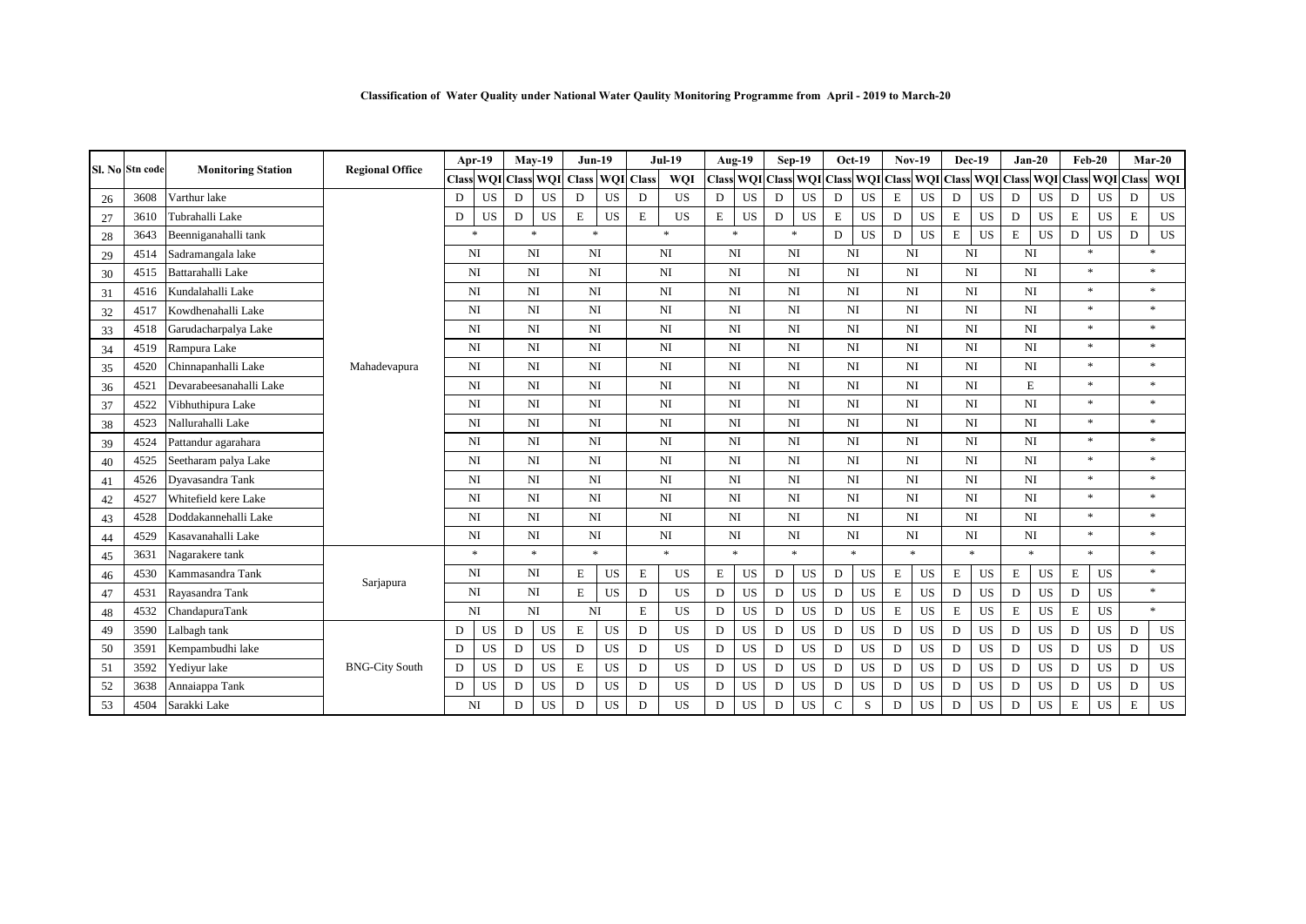|    | Sl. No Stn code | <b>Monitoring Station</b> | <b>Regional Office</b> |   | Apr-19                 |   | $Mav-19$            |              | $Jun-19$            |                  | <b>Jul-19</b>  |   | Aug-19           |              | $Sep-19$  |             | $Oct-19$                      |             | <b>Nov-19</b> |             | Dec-19           |             | $Jan-20$         |             | $Feb-20$         |             | $Mar-20$  |
|----|-----------------|---------------------------|------------------------|---|------------------------|---|---------------------|--------------|---------------------|------------------|----------------|---|------------------|--------------|-----------|-------------|-------------------------------|-------------|---------------|-------------|------------------|-------------|------------------|-------------|------------------|-------------|-----------|
|    |                 |                           |                        |   |                        |   | Class WOI Class WOI | <b>Class</b> |                     | <b>WOI</b> Class | <b>WOI</b>     |   | <b>Class WQI</b> | <b>Class</b> |           |             | WQI Class WQI Class WQI Class |             |               |             | <b>WQI</b> Class |             | <b>WQI</b> Class |             | <b>WQI</b> Class |             | WQI       |
| 26 | 3608            | Varthur lake              |                        | D | US                     | D | US                  | ${\bf D}$    | <b>US</b>           | D                | <b>US</b>      | D | US               | D            | <b>US</b> | D           | US                            | $\mathbf E$ | US            | D           | US               | $\mathbf D$ | US               | ${\rm D}$   | US               | $\mathbf D$ | US        |
| 27 | 3610            | Tubrahalli Lake           |                        | D | <b>US</b>              | D | <b>US</b>           | $\,$ E       | US                  | $\mathbf E$      | <b>US</b>      | E | <b>US</b>        | ${\rm D}$    | <b>US</b> | E           | <b>US</b>                     | D           | US            | $\mathbf E$ | <b>US</b>        | D           | <b>US</b>        | $\mathbf E$ | <b>US</b>        | $\mathbf E$ | US        |
| 28 | 3643            | Beenniganahalli tank      |                        |   | $\ast$                 |   | $\ast$              |              | $\ast$              |                  | $\ast$         |   | $\ast$           |              | $\ast$    | D           | $_{\rm US}$                   | D           | US            | E           | US               | E           | US               | D           | $_{\rm US}$      | D           | US        |
| 29 | 4514            | Sadramangala lake         |                        |   | NI                     |   | NI                  |              | NI                  |                  | N <sub>I</sub> |   | NI               |              | NI        |             | NI                            |             | NI            |             | NI               |             | NI               |             | $\ast$           |             | $\ast$    |
| 30 | 4515            | Battarahalli Lake         |                        |   | NI                     |   | NI                  |              | N <sub>I</sub>      |                  | NI             |   | $N_{\rm I}$      |              | NI        |             | NI                            |             | NI            |             | NI               |             | $_{\rm NI}$      |             | $\ast$           |             | $*$       |
| 31 | 4516            | Kundalahalli Lake         |                        |   | NI                     |   | NI                  |              | N <sub>I</sub>      |                  | NI             |   | NI               |              | NI        |             | NI                            |             | NI            |             | NI               |             | NI               |             | $*$              |             | $*$       |
| 32 | 4517            | Kowdhenahalli Lake        |                        |   | NI                     |   | NI                  |              | N <sub>I</sub>      |                  | NI             |   | $_{\rm NI}$      |              | NI        |             | NI                            |             | $_{\rm NI}$   |             | NI               |             | NI               |             | $\ast$           |             | $*$       |
| 33 | 4518            | Garudacharpalya Lake      |                        |   | NI                     |   | NI                  | NI           |                     |                  | N <sub>I</sub> |   | NI               |              | NI        |             | NI                            |             | NI            |             | NI               |             | NI               |             | $\ast$           |             | $*$       |
| 34 | 4519            | Rampura Lake              |                        |   | $_{\rm NI}$            |   | NI                  |              | N <sub>I</sub>      |                  | NI             |   | $_{\rm NI}$      |              | NI        |             | $_{\rm NI}$                   |             | $_{\rm NI}$   |             | NI               |             | $_{\rm NI}$      |             | $*$              |             | $*$       |
| 35 | 4520            | Chinnapanhalli Lake       | Mahadevapura           |   | NI                     |   | NI                  |              | N <sub>I</sub>      |                  | NI             |   | NI               |              | NI        |             | NI                            |             | NI            |             | NI               |             | NI               |             | $\ast$           |             | $*$       |
| 36 | 4521            | Devarabeesanahalli Lake   |                        |   | NI                     |   | NI                  |              | NI                  |                  | NI             |   | NI               |              | NI        |             | NI                            |             | NI            |             | NI               |             | $\mathbf E$      |             | $*$              |             | $*$       |
| 37 | 4522            | Vibhuthipura Lake         |                        |   | NI                     |   | NI                  |              | NI                  |                  | <b>NI</b>      |   | NI               |              | NI        |             | NI                            |             | NI            |             | NI               |             | NI               |             | $\ast$           |             | $*$       |
| 38 | 4523            | Nallurahalli Lake         |                        |   | $_{\rm NI}$            |   | NI                  |              | N <sub>I</sub>      |                  | NI             |   | $_{\rm NI}$      |              | NI        |             | NI                            |             | $_{\rm NI}$   |             | NI               |             | $_{\rm NI}$      |             | $\ast$           |             | $*$       |
| 39 | 4524            | Pattandur agarahara       |                        |   | NI                     |   | NI                  |              | NI                  |                  | NI             |   | NI               |              | NI        |             | NI                            |             | NI            |             | NI               |             | NI               |             | $\ast$           |             | $*$       |
| 40 | 4525            | Seetharam palya Lake      |                        |   | NI                     |   | NI                  |              | N <sub>I</sub>      |                  | NI             |   | NI               |              | NI        |             | NI                            |             | NI            |             | NI               |             | NI               |             | $\ast$           |             | $*$       |
| 41 | 4526            | Dyavasandra Tank          |                        |   | NI                     |   | NI                  |              | NI                  |                  | N <sub>I</sub> |   | NI               |              | NI        |             | NI                            |             | NI            |             | NI               |             | NI               |             | $\ast$           |             | $*$       |
| 42 | 4527            | Whitefield kere Lake      |                        |   | NI                     |   | NI                  |              | NI                  |                  | N <sub>I</sub> |   | NI               |              | NI        |             | NI                            |             | NI            |             | NI               |             | NI               |             | $\ast$           |             | $\ast$    |
| 43 | 4528            | Doddakannehalli Lake      |                        |   | NI                     |   | NI                  |              | NI                  |                  | NI             |   | NI               |              | NI        |             | NI                            |             | NI            |             | NI               |             | NI               |             | *                |             | $*$       |
| 44 | 4529            | Kasavanahalli Lake        |                        |   | NI                     |   | NI                  |              | NI                  |                  | N <sub>I</sub> |   | NI               |              | NI        |             | NI                            |             | NI            |             | NI               |             | NI               |             | $\ast$           |             | $*$       |
| 45 | 3631            | Nagarakere tank           |                        |   | $\ast$                 |   | $\ast$              |              | $\boldsymbol{\ast}$ |                  | $\ast$         |   | $\ast$           |              | $\ast$    |             | $\ast$                        |             | $\ast$        |             | $\ast$           |             | $\ast$           |             | $\ast$           |             | $\ast$    |
| 46 | 4530            | Kammasandra Tank          |                        |   | NI                     |   | NI                  | E            | <b>US</b>           | $\mathbf E$      | <b>US</b>      | E | <b>US</b>        | D            | US        | D           | <b>US</b>                     | E           | <b>US</b>     | E           | US               | Е           | US               | E           | <b>US</b>        |             | $*$       |
| 47 | 4531            | Rayasandra Tank           | Sarjapura              |   | NI                     |   | NI                  | $\mathbf E$  | US                  | D                | <b>US</b>      | D | <b>US</b>        | D            | <b>US</b> | D           | <b>US</b>                     | E           | <b>US</b>     | D           | <b>US</b>        | D           | <b>US</b>        | $\mathbf D$ | <b>US</b>        |             | $\ast$    |
| 48 | 4532            | ChandapuraTank            |                        |   | $\mathbf{N}\mathbf{I}$ |   | NI                  |              | NI                  | E                | <b>US</b>      | D | <b>US</b>        | D            | <b>US</b> | D           | US                            | E           | <b>US</b>     | E           | US               | Е           | <b>US</b>        | $\mathbf E$ | <b>US</b>        |             | $\ast$    |
| 49 | 3590            | Lalbagh tank              |                        | D | <b>US</b>              | D | US                  | $\mathbf E$  | US                  | D                | <b>US</b>      | D | <b>US</b>        | D            | <b>US</b> | D           | <b>US</b>                     | $\mathbf D$ | <b>US</b>     | D           | <b>US</b>        | D           | <b>US</b>        | $\mathbf D$ | <b>US</b>        | D           | <b>US</b> |
| 50 | 3591            | Kempambudhi lake          |                        | D | $_{\rm US}$            | D | <b>US</b>           | D            | US                  | D                | US             | D | <b>US</b>        | $\mathbf D$  | US        | D           | <b>US</b>                     | $\mathbf D$ | <b>US</b>     | D           | <b>US</b>        | D           | <b>US</b>        | D           | US               | $\mathbf D$ | US        |
| 51 | 3592            | Yediyur lake              | <b>BNG-City South</b>  | D | <b>US</b>              | D | US                  | $\mathbf E$  | US                  | D                | <b>US</b>      | D | <b>US</b>        | $\mathbf D$  | <b>US</b> | D           | <b>US</b>                     | $\mathbf D$ | <b>US</b>     | D           | <b>US</b>        | D           | US               | $\mathbf D$ | <b>US</b>        | $\mathbf D$ | <b>US</b> |
| 52 | 3638            | Annaiappa Tank            |                        | D | <b>US</b>              | D | <b>US</b>           | D            | US                  | D                | US             | D | <b>US</b>        | D            | <b>US</b> | D           | <b>US</b>                     | D           | <b>US</b>     | D           | US               | D           | US               | D           | <b>US</b>        | D           | US        |
| 53 | 4504            | Sarakki Lake              |                        |   | NI                     | D | US                  | D            | US                  | D                | <b>US</b>      | D | <b>US</b>        | D            | US        | $\mathbf C$ | S                             | D           | <b>US</b>     | D           | <b>US</b>        | D           | <b>US</b>        | $\mathbf E$ | US               | $\mathbf E$ | <b>US</b> |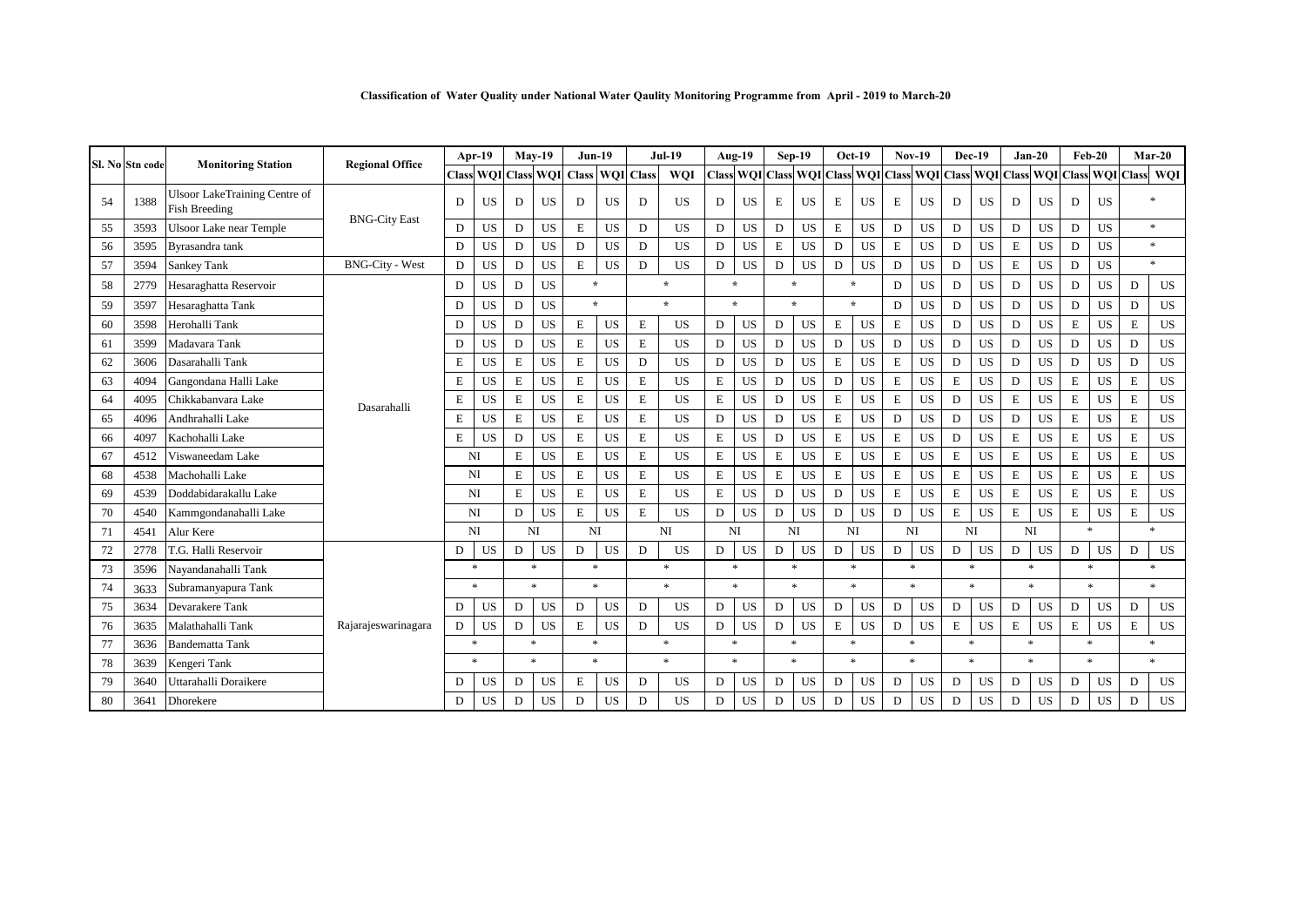|    | Sl. No Stn code | <b>Monitoring Station</b>                             | <b>Regional Office</b> |             | Apr-19         |             | $Mav-19$            | $Jun-19$               |           |             | <b>Jul-19</b> |             | Aug-19              |             | $Sep-19$                                      |             | $Oct-19$    |             | <b>Nov-19</b> |             | Dec-19           |             | $Jan-20$  |                  | $Feb-20$         |             | $Mar-20$            |
|----|-----------------|-------------------------------------------------------|------------------------|-------------|----------------|-------------|---------------------|------------------------|-----------|-------------|---------------|-------------|---------------------|-------------|-----------------------------------------------|-------------|-------------|-------------|---------------|-------------|------------------|-------------|-----------|------------------|------------------|-------------|---------------------|
|    |                 |                                                       |                        |             |                |             | Class WOI Class WOI | <b>Class WQI</b> Class |           |             | WOI           |             |                     |             | Class WOI Class WOI Class WOI Class WOI Class |             |             |             |               |             | <b>WQI</b> Class |             |           | <b>WQI</b> Class | <b>WOI</b> Class |             | WOI                 |
| 54 | 1388            | Ulsoor LakeTraining Centre of<br><b>Fish Breeding</b> |                        | D           | <b>US</b>      | D           | <b>US</b>           | D                      | <b>US</b> | D           | <b>US</b>     | D           | <b>US</b>           | Е           | <b>US</b>                                     | Е           | <b>US</b>   | Е           | <b>US</b>     | D           | <b>US</b>        | D           | <b>US</b> | D                | <b>US</b>        |             | $\ast$              |
| 55 | 3593            | <b>Ulsoor Lake near Temple</b>                        | <b>BNG-City East</b>   | D           | US             | D           | <b>US</b>           | E                      | <b>US</b> | D           | US            | D           | <b>US</b>           | D           | <b>US</b>                                     | Е           | <b>US</b>   | D           | <b>US</b>     | $\mathbf D$ | US               | D           | US        | D                | <b>US</b>        |             | $\ast$              |
| 56 | 3595            | Byrasandra tank                                       |                        | D           | US             | D           | US                  | D                      | <b>US</b> | D           | US            | D           | $_{\rm US}$         | E           | US                                            | D           | $_{\rm US}$ | E           | US            | $\mathbf D$ | US               | $\mathbf E$ | <b>US</b> | $\mathbf D$      | <b>US</b>        |             | $\ast$              |
| 57 | 3594            | <b>Sankey Tank</b>                                    | <b>BNG-City - West</b> | ${\rm D}$   | US             | D           | US                  | E                      | <b>US</b> | D           | US            | $\mathbf D$ | <b>US</b>           | D           | <b>US</b>                                     | D           | <b>US</b>   | D           | <b>US</b>     | D           | US               | $\mathbf E$ | US        | $\mathbf D$      | US               |             | $\ast$              |
| 58 | 2779            | Hesaraghatta Reservoir                                |                        | D           | US             | D           | <b>US</b>           | $\star$                |           |             | $\star$       |             | $\mathbf{r}$        |             | $\star$                                       |             | $\star$     | D           | <b>US</b>     | D           | <b>US</b>        | D           | <b>US</b> | D                | <b>US</b>        | D           | US                  |
| 59 | 3597            | Hesaraghatta Tank                                     |                        | D           | <b>US</b>      | D           | <b>US</b>           | $\star$                |           |             | $\star$       |             | $\star$             |             | $\star$                                       |             | $\star$     | D           | <b>US</b>     | $\mathbf D$ | US               | $\mathbf D$ | <b>US</b> | $\mathbf D$      | <b>US</b>        | D           | US                  |
| 60 | 3598            | Herohalli Tank                                        |                        | D           | US             | $\mathbf D$ | US                  | $\mathbf E$            | US        | E           | US            | D           | <b>US</b>           | D           | <b>US</b>                                     | E           | <b>US</b>   | $\mathbf E$ | <b>US</b>     | $\mathbf D$ | US               | $\mathbf D$ | US        | $\mathbf E$      | <b>US</b>        | $\mathbf E$ | US                  |
| 61 | 3599            | Madavara Tank                                         |                        | D           | <b>US</b>      | ${\rm D}$   | US                  | $\bf E$                | US        | $\mathbf E$ | US            | D           | US                  | D           | US                                            | D           | US          | D           | US            | D           | <b>US</b>        | D           | <b>US</b> | $\mathbf D$      | US               | D           | US                  |
| 62 | 3606            | Dasarahalli Tank                                      |                        | E           | <b>US</b>      | $\mathbf E$ | <b>US</b>           | E                      | US        | D           | <b>US</b>     | D           | <b>US</b>           | D           | <b>US</b>                                     | $\mathbf E$ | <b>US</b>   | E           | <b>US</b>     | D           | <b>US</b>        | D           | <b>US</b> | $\mathbf D$      | <b>US</b>        | D           | US                  |
| 63 | 4094            | Gangondana Halli Lake                                 |                        | E           | <b>US</b>      | $\mathbf E$ | US                  | E                      | US        | E           | US            | Е           | US                  | D           | US                                            | D           | US          | E           | US            | $\mathbf E$ | <b>US</b>        | D           | <b>US</b> | E                | US               | $\mathbf E$ | US                  |
| 64 | 4095            | Chikkabanyara Lake                                    | Dasarahalli            | $\mathbf E$ | US             | $\mathbf E$ | US                  | E                      | US        | E           | <b>US</b>     | $\mathbf E$ | <b>US</b>           | D           | <b>US</b>                                     | E           | <b>US</b>   | E           | <b>US</b>     | D           | US               | $\mathbf E$ | US        | $\mathbf E$      | US               | $\mathbf E$ | US                  |
| 65 | 4096            | Andhrahalli Lake                                      |                        | E           | <b>US</b>      | $\mathbf E$ | US                  | E                      | US        | $\mathbf E$ | US            | D           | <b>US</b>           | D           | <b>US</b>                                     | E           | <b>US</b>   | D           | <b>US</b>     | D           | <b>US</b>        | D           | <b>US</b> | Е                | US               | $\mathbf E$ | US                  |
| 66 | 4097            | Kachohalli Lake                                       |                        | E           | US             | D           | <b>US</b>           | E                      | US        | E           | <b>US</b>     | $\mathbf E$ | <b>US</b>           | D           | <b>US</b>                                     | $\mathbf E$ | <b>US</b>   | E           | <b>US</b>     | D           | <b>US</b>        | $\mathbf E$ | <b>US</b> | $\mathbf E$      | <b>US</b>        | $\mathbf E$ | <b>US</b>           |
| 67 | 4512            | Viswaneedam Lake                                      |                        |             | NI             | $\mathbf E$ | <b>US</b>           | E                      | <b>US</b> | E           | <b>US</b>     | $\mathbf E$ | <b>US</b>           | E           | <b>US</b>                                     | $\mathbf E$ | <b>US</b>   | $\mathbf E$ | <b>US</b>     | $\mathbf E$ | <b>US</b>        | $\mathbf E$ | <b>US</b> | $\mathbf E$      | <b>US</b>        | $\mathbf E$ | US                  |
| 68 | 4538            | Machohalli Lake                                       |                        |             | NI             | $\mathbf E$ | US                  | E                      | US        | E           | <b>US</b>     | $\mathbf E$ | <b>US</b>           | E           | US                                            | E           | <b>US</b>   | E           | <b>US</b>     | $\mathbf E$ | US               | $\mathbf E$ | US        | $\mathbf E$      | US               | $\mathbf E$ | US                  |
| 69 | 4539            | Doddabidarakallu Lake                                 |                        |             | NI             | E           | US                  | E                      | US        | E           | US            | $\mathbf E$ | <b>US</b>           | D           | <b>US</b>                                     | D           | <b>US</b>   | E           | <b>US</b>     | $\mathbf E$ | <b>US</b>        | E           | US        | $\mathbf E$      | <b>US</b>        | $\mathbf E$ | US                  |
| 70 | 4540            | Kammgondanahalli Lake                                 |                        |             | NI             | D           | US                  | $\mathbf E$            | US        | E           | <b>US</b>     | D           | <b>US</b>           | D           | <b>US</b>                                     | D           | <b>US</b>   | D           | US            | E           | US               | E           | US        | $\mathbf E$      | US               | E           | US                  |
| 71 | 4541            | Alur Kere                                             |                        |             | N <sub>I</sub> |             | NI                  | NI                     |           |             | NI            |             | NI                  |             | NI                                            |             | NI          |             | NI            |             | NI               |             | NI        |                  | $\ast$           |             | $\boldsymbol{\ast}$ |
| 72 | 2778            | <b>T.G. Halli Reservoir</b>                           |                        | D           | US             | D           | US                  | D                      | US        | D           | US            | D           | US                  | $\mathbf D$ | <b>US</b>                                     | $\mathbf D$ | <b>US</b>   | D           | US            | D           | US               | D           | US        | D                | US               | D           | US                  |
| 73 | 3596            | Nayandanahalli Tank                                   |                        |             | *              |             | $\ast$              | $\ast$                 |           |             | $\ast$        |             | $\ast$              |             | $\ast$                                        |             | $\ast$      |             | $\ast$        |             | $\ast$           | $\ast$      |           |                  | $\ast$           |             | $\ast$              |
| 74 | 3633            | Subramanyapura Tank                                   |                        |             | $\ast$         |             | $\ast$              | $\boldsymbol{\ast}$    |           |             | $\ast$        |             | $\boldsymbol{\ast}$ |             | $\ast$                                        |             | $*$         |             | $\ast$        |             | $\ast$           |             | $\ast$    |                  | $\ast$           |             | $\ast$              |
| 75 | 3634            | Devarakere Tank                                       |                        | D           | US             | D           | <b>US</b>           | D                      | <b>US</b> | D           | US            | D           | US.                 | D           | US                                            | D           | <b>US</b>   | D           | US            | D           | US               | D           | US        | D                | US               | D           | US                  |
| 76 | 3635            | Malathahalli Tank                                     | Rajarajeswarinagara    | D           | US             | D           | US                  | $\mathbf E$            | US        | D           | US            | D           | <b>US</b>           | D           | <b>US</b>                                     | $\mathbf E$ | <b>US</b>   | D           | US            | E           | <b>US</b>        | $\mathbf E$ | <b>US</b> | $\mathbf E$      | <b>US</b>        | $\mathbf E$ | <b>US</b>           |
| 77 | 3636            | <b>Bandematta Tank</b>                                |                        |             | $\ast$         |             | $\ast$              | $\ast$                 |           |             | $\ast$        |             | $\ast$              |             | $\ast$                                        |             | $\ast$      |             | $\ast$        |             | $\ast$           | $\ast$      |           |                  | $\ast$           |             | $\ast$              |
| 78 | 3639            | Kengeri Tank                                          |                        |             | $\ast$         |             | $\ast$              | $\ast$                 |           |             | $\ast$        |             | $\ast$              |             | $\ast$                                        |             | $\ast$      |             | $\ast$        |             | $\ast$           | $\ast$      |           |                  | $\ast$           |             | $\ast$              |
| 79 | 3640            | Uttarahalli Doraikere                                 |                        | D           | US             | D           | <b>US</b>           | E                      | <b>US</b> | D           | US            | D           | <b>US</b>           | D           | <b>US</b>                                     | D           | US          | D           | <b>US</b>     | D           | <b>US</b>        | D           | US        | D                | US               | D           | US                  |
| 80 | 3641            | Dhorekere                                             |                        | D           | <b>US</b>      | D           | US                  | D                      | US        | D           | US            | D           | <b>US</b>           | D           | US                                            | D           | <b>US</b>   | D           | <b>US</b>     | D           | US               | D           | <b>US</b> | D                | US               | D           | US                  |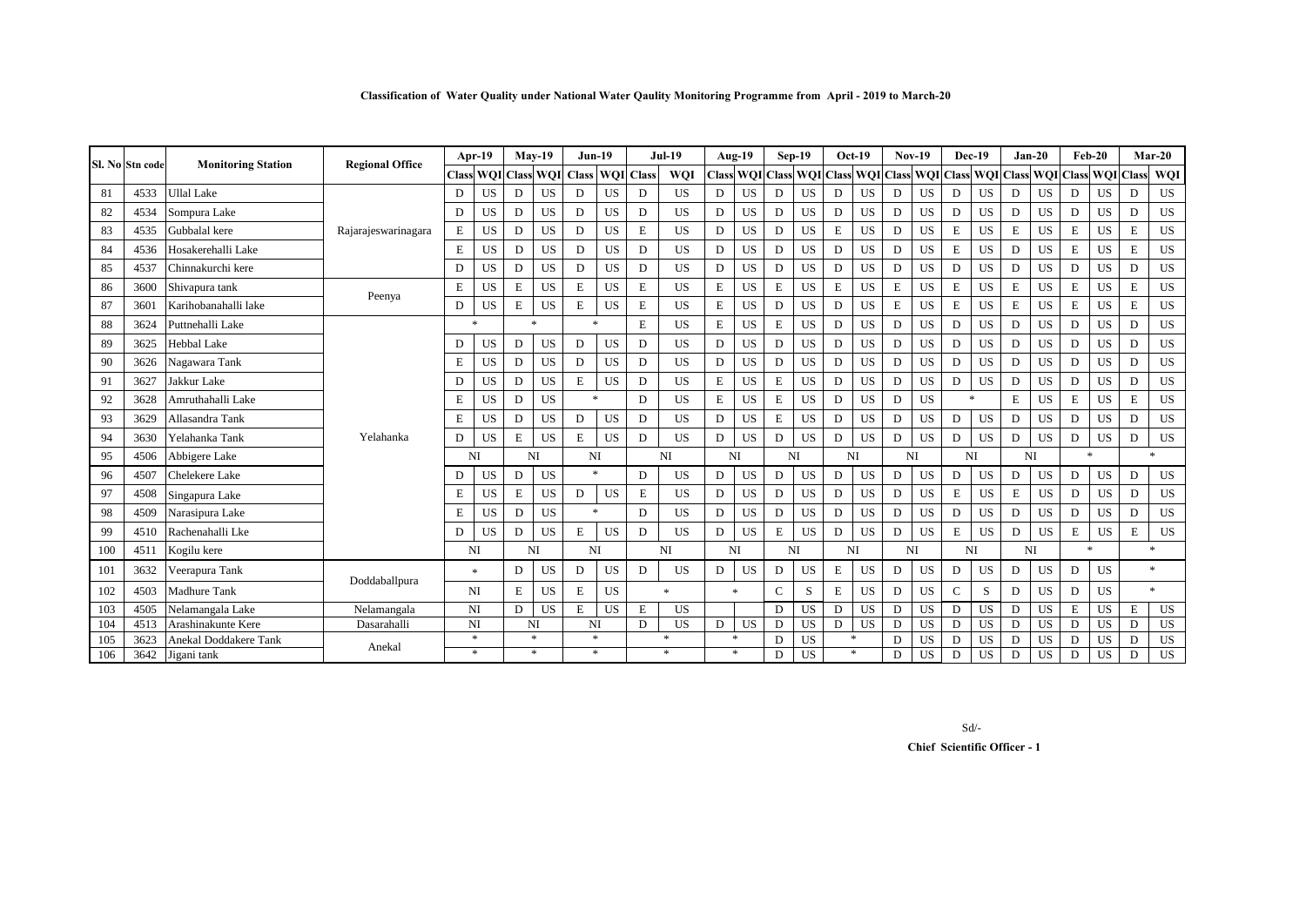|     | Sl. No Stn code | <b>Monitoring Station</b> | <b>Regional Office</b> |             | Apr-19         |             | $Mav-19$  | $Jun-19$                       |           |              | <b>Jul-19</b>  |    | Aug-19                 |   | $Sep-19$             | $Oct-19$    |           |              | <b>Nov-19</b> |              | <b>Dec-19</b>       | $Jan-20$    |            |              | $Feb-20$            |              | $Mar-20$   |
|-----|-----------------|---------------------------|------------------------|-------------|----------------|-------------|-----------|--------------------------------|-----------|--------------|----------------|----|------------------------|---|----------------------|-------------|-----------|--------------|---------------|--------------|---------------------|-------------|------------|--------------|---------------------|--------------|------------|
|     |                 |                           |                        | Class       |                |             |           | <b>WOI</b> Class WOI Class WOI |           | <b>Class</b> | WOI            |    | <b>Class WOI Class</b> |   | <b>WOI</b> Class WOI |             |           | <b>Class</b> | <b>WOI</b>    | Class        | <b>WOI</b>          | Class       | <b>WOI</b> | <b>Class</b> | <b>WOI</b>          | <b>Class</b> | <b>WQI</b> |
| 81  | 4533            | Jllal Lake                |                        | D           | <b>US</b>      | D           | <b>US</b> | D                              | US        | D            | <b>US</b>      | D  | <b>US</b>              | D | <b>US</b>            | D           | <b>US</b> | D            | <b>US</b>     | D            | <b>US</b>           | D           | <b>US</b>  | D            | <b>US</b>           | D            | US         |
| 82  | 4534            | Sompura Lake              |                        | D           | <b>US</b>      | D           | <b>US</b> | D                              | US        | D            | <b>US</b>      | D  | <b>US</b>              | D | US                   | D           | <b>US</b> | D            | <b>US</b>     | D            | <b>US</b>           | D           | <b>US</b>  | D            | <b>US</b>           | D            | <b>US</b>  |
| 83  | 4535            | Gubbalal kere             | Rajarajeswarinagara    | $\mathbf E$ | <b>US</b>      | D           | <b>US</b> | D                              | US        | E            | <b>US</b>      | D  | <b>US</b>              | D | US                   | Е           | <b>US</b> | D            | <b>US</b>     | E            | <b>US</b>           | $\mathbf E$ | <b>US</b>  | Е            | US                  | E            | <b>US</b>  |
| 84  | 4536            | Hosakerehalli Lake        |                        | $\mathbf E$ | <b>US</b>      | D           | <b>US</b> | D                              | US        | D            | <b>US</b>      | D  | <b>US</b>              | D | <b>US</b>            | D           | <b>US</b> | D            | <b>US</b>     | E            | <b>US</b>           | $\mathbf D$ | <b>US</b>  | E            | <b>US</b>           | $\mathbf E$  | US         |
| 85  | 4537            | Chinnakurchi kere         |                        | D           | <b>US</b>      | D           | <b>US</b> | D                              | US        | D            | US             | D  | <b>US</b>              | D | US                   | $\mathbf D$ | <b>US</b> | $\mathbf D$  | <b>US</b>     | D            | <b>US</b>           | D           | <b>US</b>  | D            | <b>US</b>           | D            | <b>US</b>  |
| 86  | 3600            | Shivapura tank            |                        | E           | <b>US</b>      | $\mathbf E$ | <b>US</b> | $\mathbf E$                    | <b>US</b> | E            | <b>US</b>      | E  | <b>US</b>              | Е | US                   | E           | <b>US</b> | E            | <b>US</b>     | E            | <b>US</b>           | E           | <b>US</b>  | E            | <b>US</b>           | $\mathbf E$  | <b>US</b>  |
| 87  | 3601            | Karihobanahalli lake      | Peenya                 | D           | <b>US</b>      | $\mathbf E$ | <b>US</b> | $\mathbf E$                    | US        | E            | <b>US</b>      | E  | <b>US</b>              | D | US.                  | D           | <b>US</b> | E            | <b>US</b>     | E            | <b>US</b>           | E           | <b>US</b>  | Е            | <b>US</b>           | E            | <b>US</b>  |
| 88  | 3624            | Puttnehalli Lake          |                        |             | <b>sk</b>      |             | $\ast$    | $\ast$                         |           | E            | <b>US</b>      | Е  | <b>US</b>              | Е | US                   | D           | <b>US</b> | D            | <b>US</b>     | D            | <b>US</b>           | D           | <b>US</b>  | D            | <b>US</b>           | D            | <b>US</b>  |
| 89  | 3625            | Hebbal Lake               |                        | D           | <b>US</b>      | D           | <b>US</b> | D                              | <b>US</b> | D            | <b>US</b>      | D  | <b>US</b>              | D | US                   | D           | <b>US</b> | D            | <b>US</b>     | D            | <b>US</b>           | D           | <b>US</b>  | D            | <b>US</b>           | D            | US         |
| 90  | 3626            | Nagawara Tank             |                        | E           | <b>US</b>      | D           | <b>US</b> | D                              | US        | D            | <b>US</b>      | D  | <b>US</b>              | D | US                   | D           | <b>US</b> | D            | <b>US</b>     | D            | <b>US</b>           | D           | <b>US</b>  | D            | <b>US</b>           | D            | US         |
| 91  | 3627            | Jakkur Lake               |                        | D           | <b>US</b>      | D           | <b>US</b> | $\mathbf E$                    | US        | D            | <b>US</b>      | E  | <b>US</b>              | Е | US                   | D           | <b>US</b> | D            | <b>US</b>     | D            | <b>US</b>           | $\mathbf D$ | <b>US</b>  | D            | US                  | D            | US         |
| 92  | 3628            | Amruthahalli Lake         |                        | E           | <b>US</b>      | D           | <b>US</b> | $\ast$                         |           | D            | <b>US</b>      | E  | <b>US</b>              | Е | US                   | D           | <b>US</b> | D            | <b>US</b>     |              | $\boldsymbol{\ast}$ | E           | <b>US</b>  | Е            | <b>US</b>           | E            | <b>US</b>  |
| 93  | 3629            | Allasandra Tank           |                        | E           | <b>US</b>      | $\mathbf D$ | <b>US</b> | D                              | US        | D            | <b>US</b>      | D  | <b>US</b>              | Е | US                   | D           | <b>US</b> | D            | <b>US</b>     | D            | <b>US</b>           | D           | <b>US</b>  | D            | <b>US</b>           | D            | US         |
| 94  | 3630            | Yelahanka Tank            | Yelahanka              | D           | <b>US</b>      | $\mathbf E$ | <b>US</b> | $\mathbf E$                    | US        | D            | <b>US</b>      | D  | <b>US</b>              | D | <b>US</b>            | D           | <b>US</b> | D            | <b>US</b>     | D            | <b>US</b>           | D           | <b>US</b>  | D            | <b>US</b>           | D            | US         |
| 95  | 4506            | Abbigere Lake             |                        |             | N <sub>I</sub> |             | NI        | NI                             |           |              | N <sub>I</sub> | NI |                        |   | NI                   |             | NI        |              | NI            |              | NI                  | NI          |            |              | $\boldsymbol{\ast}$ |              | $\ast$     |
| 96  | 4507            | Chelekere Lake            |                        | D           | <b>US</b>      | D           | <b>US</b> | $\ast$                         |           | D            | <b>US</b>      | D  | <b>US</b>              | D | <b>US</b>            | D           | US        | D            | <b>US</b>     | D            | <b>US</b>           | D           | <b>US</b>  | D            | <b>US</b>           | D            | <b>US</b>  |
| 97  | 4508            | Singapura Lake            |                        | E           | US             | Е           | US        | D                              | US        | E            | US             | D  | US.                    | D | US                   | D           | US.       | D            | <b>US</b>     | E            | <b>US</b>           | E           | <b>US</b>  | D            | <b>US</b>           | D            | US         |
| 98  | 4509            | Narasipura Lake           |                        | E           | US             | D           | <b>US</b> | $\ast$                         |           | D            | <b>US</b>      | D  | <b>US</b>              | D | <b>US</b>            | D           | <b>US</b> | D            | <b>US</b>     | D            | <b>US</b>           | D           | <b>US</b>  | D            | <b>US</b>           | D            | US         |
| 99  | 4510            | Rachenahalli Lke          |                        | D           | <b>US</b>      | D           | <b>US</b> | $\mathbf E$                    | US        | D            | <b>US</b>      | D  | <b>US</b>              | E | <b>US</b>            | D           | <b>US</b> | D            | <b>US</b>     | E            | US                  | D           | <b>US</b>  | E            | US                  | E            | <b>US</b>  |
| 100 | 4511            | Kogilu kere               |                        |             | NI             |             | NI        | NI                             |           |              | N <sub>I</sub> | NI |                        |   | NI                   |             | NI        |              | NI            |              | NI                  | NI          |            |              | $\boldsymbol{\ast}$ |              | $*$        |
| 101 | 3632            | Veerapura Tank            |                        |             | $\ast$         | D           | US        | D                              | US        | D            | <b>US</b>      | D  | US.                    | D | US                   | Е           | <b>US</b> | D            | US            | D            | <b>US</b>           | D           | <b>US</b>  | D            | <b>US</b>           |              | $\ast$     |
| 102 | 4503            | Madhure Tank              | Doddaballpura          |             | NI             | $\mathbf E$ | <b>US</b> | $\mathbf E$                    | <b>US</b> |              |                |    | $\ast$                 | C | S                    | Ε           | <b>US</b> | D            | <b>US</b>     | $\mathbf{C}$ | S                   | D           | <b>US</b>  | D            | <b>US</b>           |              | $\ast$     |
| 103 | 4505            | Nelamangala Lake          | Nelamangala            |             | N <sub>I</sub> | D           | <b>US</b> | $\mathbf E$                    | US        | E            | <b>US</b>      |    |                        | D | US.                  | D           | <b>US</b> | D            | <b>US</b>     | D            | <b>US</b>           | D           | <b>US</b>  | Е            | <b>US</b>           | E            | US         |
| 104 | 4513            | Arashinakunte Kere        | Dasarahalli            |             | NI             |             | NI        | NI                             |           | D            | US             | D  | US                     | D | <b>US</b>            | D           | US        | D            | <b>US</b>     | D            | <b>US</b>           | D           | <b>US</b>  | D            | US                  | D            | US         |
| 105 | 3623            | Anekal Doddakere Tank     | Anekal                 |             | $\ast$         |             | $\ast$    | *                              |           |              |                |    | *                      | D | <b>US</b>            |             | $*$       | D            | <b>US</b>     | D            | <b>US</b>           | D           | US         | D            | US                  | $\mathbf D$  | US         |
| 106 | 3642            | Jigani tank               |                        |             | $\ast$         |             | $\ast$    | $*$                            |           |              | $\ast$         |    | $*$                    | D | US                   |             | $\ast$    | D            | <b>US</b>     | D            | US                  | D           | US         | D            | <b>US</b>           | D            | <b>US</b>  |

Sd/-

 **Chief Scientific Officer - 1**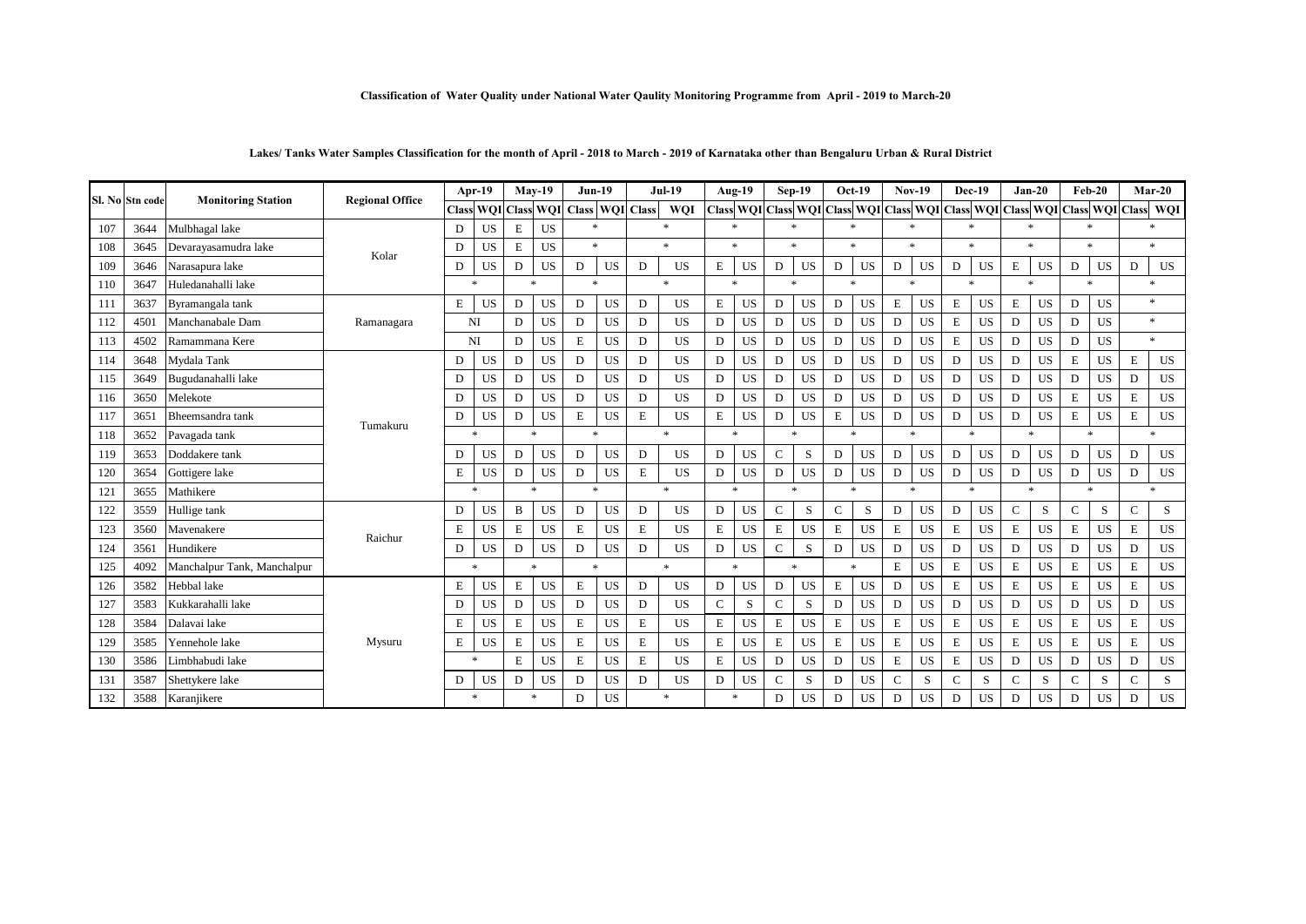### **Classification of Water Quality under National Water Qaulity Monitoring Programme from April - 2019 to March-20**

# **Lakes/ Tanks Water Samples Classification for the month of April - 2018 to March - 2019 of Karnataka other than Bengaluru Urban & Rural District**

|     | Sl. No Stn code | <b>Monitoring Station</b>   | <b>Regional Office</b> | Apr-19       |            | $Mav-19$                 |            | <b>Jun-19</b>          |           | <b>Jul-19</b> |            | Aug-19      |                                      |               | $Sep-19$  | Oct-19       |           | $Nov-19$     |             | <b>Dec-19</b> |           | $Jan-20$     |           | Feb-20       |                                   | $Mar-20$     |                     |
|-----|-----------------|-----------------------------|------------------------|--------------|------------|--------------------------|------------|------------------------|-----------|---------------|------------|-------------|--------------------------------------|---------------|-----------|--------------|-----------|--------------|-------------|---------------|-----------|--------------|-----------|--------------|-----------------------------------|--------------|---------------------|
|     |                 |                             |                        | <b>Class</b> | <b>WQI</b> | <b>Class</b>             | <b>WQI</b> | <b>Class WQI Class</b> |           |               | <b>WOI</b> |             | <b>Class WQI Class WQI Class WQI</b> |               |           |              |           | <b>Class</b> |             |               |           |              |           |              | WQI Class WQI Class WQI Class WQI | <b>Class</b> | <b>WQI</b>          |
| 107 | 3644            | Mulbhagal lake              | Kolar                  | D            | <b>US</b>  | $\mathbf E$<br><b>US</b> |            |                        | $*$       |               | $\ast$     |             | $\ast$                               | $\ast$        |           | $\ast$       |           | $\ast$       |             |               |           | $\ast$       |           |              | $\ast$                            |              | $\boldsymbol{\ast}$ |
| 108 | 3645            | Devarayasamudra lake        |                        | D            | <b>US</b>  | E                        | <b>US</b>  |                        | $\ast$    |               | $\ast$     |             | $\ast$                               | $\ast$        |           | $\ast$       |           | $\ast$       |             | $\ast$        |           | $\ast$       |           |              | $\ast$                            |              | $\ast$              |
| 109 | 3646            | Narasapura lake             |                        | D            | <b>US</b>  | D                        | US         | D                      | US        | D             | <b>US</b>  | Е           | US                                   | D             | US        | D            | US        | D            | US          | D             | <b>US</b> | E            | US        | D            | US                                | D            | US                  |
| 110 | 3647            | Huledanahalli lake          |                        | $\ast$       |            |                          | $\ast$     |                        | $\ast$    |               | $\ast$     |             | $\ast$                               |               | $*$       |              | $\ast$    |              | $\ast$      | $\star$       |           | $*$          |           |              | $\ast$                            |              | $\ast$              |
| 111 | 3637            | Byramangala tank            | Ramanagara             | E            | <b>US</b>  | D                        | <b>US</b>  | D                      | US        | D             | <b>US</b>  | E           | <b>US</b>                            | D             | <b>US</b> | D            | <b>US</b> | Е            | <b>US</b>   | E             | <b>US</b> | E            | <b>US</b> | D            | <b>US</b>                         |              | $\ast$              |
| 112 | 4501            | Manchanabale Dam            |                        | NI           |            | D                        | <b>US</b>  | D                      | US        | D             | <b>US</b>  | D           | <b>US</b>                            | D             | US        | D            | <b>US</b> | D            | <b>US</b>   | $\mathbf E$   | <b>US</b> | D            | US        | D            | <b>US</b>                         |              | $\ast$              |
| 113 | 4502            | Ramammana Kere              |                        |              | NI         | D                        | <b>US</b>  | $\mathbf E$            | US        | D             | <b>US</b>  | D           | <b>US</b>                            | D             | <b>US</b> | D            | <b>US</b> | D            | <b>US</b>   | E             | <b>US</b> | D            | <b>US</b> | D            | <b>US</b>                         |              | $\ast$              |
| 114 | 3648            | Mydala Tank                 |                        | D            | <b>US</b>  | D                        | <b>US</b>  | D                      | <b>US</b> | D             | <b>US</b>  | D           | <b>US</b>                            | D             | US.       | D            | <b>US</b> | D            | <b>US</b>   | D             | <b>US</b> | D            | <b>US</b> | Е            | <b>US</b>                         | E            | <b>US</b>           |
| 115 | 3649            | Bugudanahalli lake          |                        | D            | <b>US</b>  | D                        | <b>US</b>  | D                      | US        | D             | <b>US</b>  | D           | US                                   | D             | US        | D            | US.       | D            | <b>US</b>   | D             | <b>US</b> | D            | US        | D            | <b>US</b>                         | D            | US                  |
| 116 | 3650            | Melekote                    | Tumakuru               | D            | <b>US</b>  | $\mathbf{D}$             | <b>US</b>  | D                      | US        | D             | <b>US</b>  | D           | <b>US</b>                            | D             | <b>US</b> | D            | <b>US</b> | D            | <b>US</b>   | D             | <b>US</b> | D            | <b>US</b> | E            | <b>US</b>                         | E            | <b>US</b>           |
| 117 | 3651            | Bheemsandra tank            |                        | D            | <b>US</b>  | D                        | <b>US</b>  | $\mathbf E$            | US        | E             | <b>US</b>  | E           | <b>US</b>                            | D             | <b>US</b> | $\mathbf E$  | <b>US</b> | D            | <b>US</b>   | D             | <b>US</b> | D            | <b>US</b> | Е            | <b>US</b>                         | E            | US                  |
| 118 | 3652            | Pavagada tank               |                        | $\ast$       |            | $\ast$                   |            | $\ast$                 |           |               | $\ast$     |             | $\ast$                               |               | $\ast$    |              | $\ast$    | $\ast$       |             | $\ast$        |           | $\ast$       |           |              | $\ast$                            |              | $\ast$              |
| 119 | 3653            | Doddakere tank              |                        | D            | US         | D                        | <b>US</b>  | D                      | US        | D             | <b>US</b>  | D           | <b>US</b>                            | C             | S         | D            | <b>US</b> | D            | US          | D             | <b>US</b> | D            | US        | D            | <b>US</b>                         | D            | US                  |
| 120 | 3654            | Gottigere lake              |                        | E            | US         | D                        | <b>US</b>  | D                      | US        | $\mathbf E$   | <b>US</b>  | D           | <b>US</b>                            | D             | <b>US</b> | D            | <b>US</b> | D            | <b>US</b>   | D             | <b>US</b> | D            | <b>US</b> | D            | <b>US</b>                         | D            | <b>US</b>           |
| 121 | 3655            | Mathikere                   |                        | $\ast$       |            | *                        |            |                        |           | $\ast$        |            |             | $\ast$                               | $\ast$        |           |              |           | $\ast$       |             | $\ast$        |           | $\ast$       |           | $\ast$       |                                   |              |                     |
| 122 | 3559            | Hullige tank                |                        | D            | <b>US</b>  | B                        | <b>US</b>  | D                      | US        | D             | <b>US</b>  | D           | US                                   | $\mathsf{C}$  | S         | $\mathsf{C}$ | S         | D            | <b>US</b>   | D             | <b>US</b> | $\mathsf{C}$ | S         | $\mathbf C$  | S                                 | $\mathbf C$  | S                   |
| 123 | 3560            | Mavenakere                  | Raichur                | E            | US         | $\mathbf E$              | <b>US</b>  | $\mathbf E$            | US        | E             | <b>US</b>  | E           | <b>US</b>                            | Е             | US        | E            | <b>US</b> | E            | <b>US</b>   | Е             | <b>US</b> | E            | <b>US</b> | $\mathbf E$  | <b>US</b>                         | E            | <b>US</b>           |
| 124 | 3561            | Hundikere                   |                        | D            | <b>US</b>  | D                        | <b>US</b>  | D                      | US        | D             | <b>US</b>  | D           | US                                   | $\mathsf{C}$  | S         | D            | <b>US</b> | D            | <b>US</b>   | D             | <b>US</b> | D            | <b>US</b> | D            | <b>US</b>                         | D            | US                  |
| 125 | 4092            | Manchalpur Tank, Manchalpur |                        |              | $\ast$     |                          | $\ast$     | $\ast$                 |           | $\ast$        |            |             | $\ast$                               | $\ast$        |           |              | $\ast$    | Е            | <b>US</b>   | Е             | US        | E            | US        | Е            | <b>US</b>                         | E            | US                  |
| 126 | 3582            | Hebbal lake                 |                        | E            | <b>US</b>  | E                        | <b>US</b>  | $\mathbf E$            | US        | D             | <b>US</b>  | D           | <b>US</b>                            | D             | US        | Е            | <b>US</b> | D            | $_{\rm US}$ | E             | US        | E            | <b>US</b> | E            | <b>US</b>                         | E            | US                  |
| 127 | 3583            | Kukkarahalli lake           | Mysuru                 | D            | <b>US</b>  | $\mathbf{D}$             | <b>US</b>  | D                      | US        | D             | <b>US</b>  | $\mathbf C$ | S                                    | $\mathcal{C}$ | S         | D            | <b>US</b> | D            | <b>US</b>   | D             | <b>US</b> | D            | <b>US</b> | D            | <b>US</b>                         | D            | US                  |
| 128 | 3584            | Dalavai lake                |                        | E            | <b>US</b>  | E                        | <b>US</b>  | $\mathbf E$            | US        | E             | <b>US</b>  | Е           | US                                   | Е             | <b>US</b> | $\mathbf E$  | <b>US</b> | Е            | <b>US</b>   | E             | <b>US</b> | Е            | US        | Е            | <b>US</b>                         | E            | US                  |
| 129 | 3585            | Yennehole lake              |                        | E            | <b>US</b>  | E                        | <b>US</b>  | $\mathbf E$            | US        | E             | <b>US</b>  | Е           | <b>US</b>                            | Ε             | US        | Е            | <b>US</b> | E            | <b>US</b>   | E             | <b>US</b> | E            | <b>US</b> | E            | <b>US</b>                         | E            | US                  |
| 130 | 3586            | Limbhabudi lake             |                        |              | $\ast$     | $\mathbf E$              | <b>US</b>  | $\mathbf E$            | US        | E             | <b>US</b>  | E           | <b>US</b>                            | D             | US        | D            | <b>US</b> | E            | <b>US</b>   | E             | <b>US</b> | D            | <b>US</b> | D            | <b>US</b>                         | D            | US                  |
| 131 | 3587            | Shettykere lake             |                        | D            | US         | D                        | <b>US</b>  | D                      | US        | D             | <b>US</b>  | D           | US                                   | C             | S         | D            | <b>US</b> | C            | S           | $\mathbf C$   | S         | $\mathsf{C}$ | S         | $\mathsf{C}$ | S                                 | $\mathbf C$  | S                   |
| 132 | 3588            | Karanjikere                 |                        |              | $\ast$     |                          | $\ast$     | US<br>D                |           |               | $\ast$     |             | $\ast$                               |               | US        | D            | US        | D            | <b>US</b>   | D             | US        | D            | US        | D            | US                                | D            | US                  |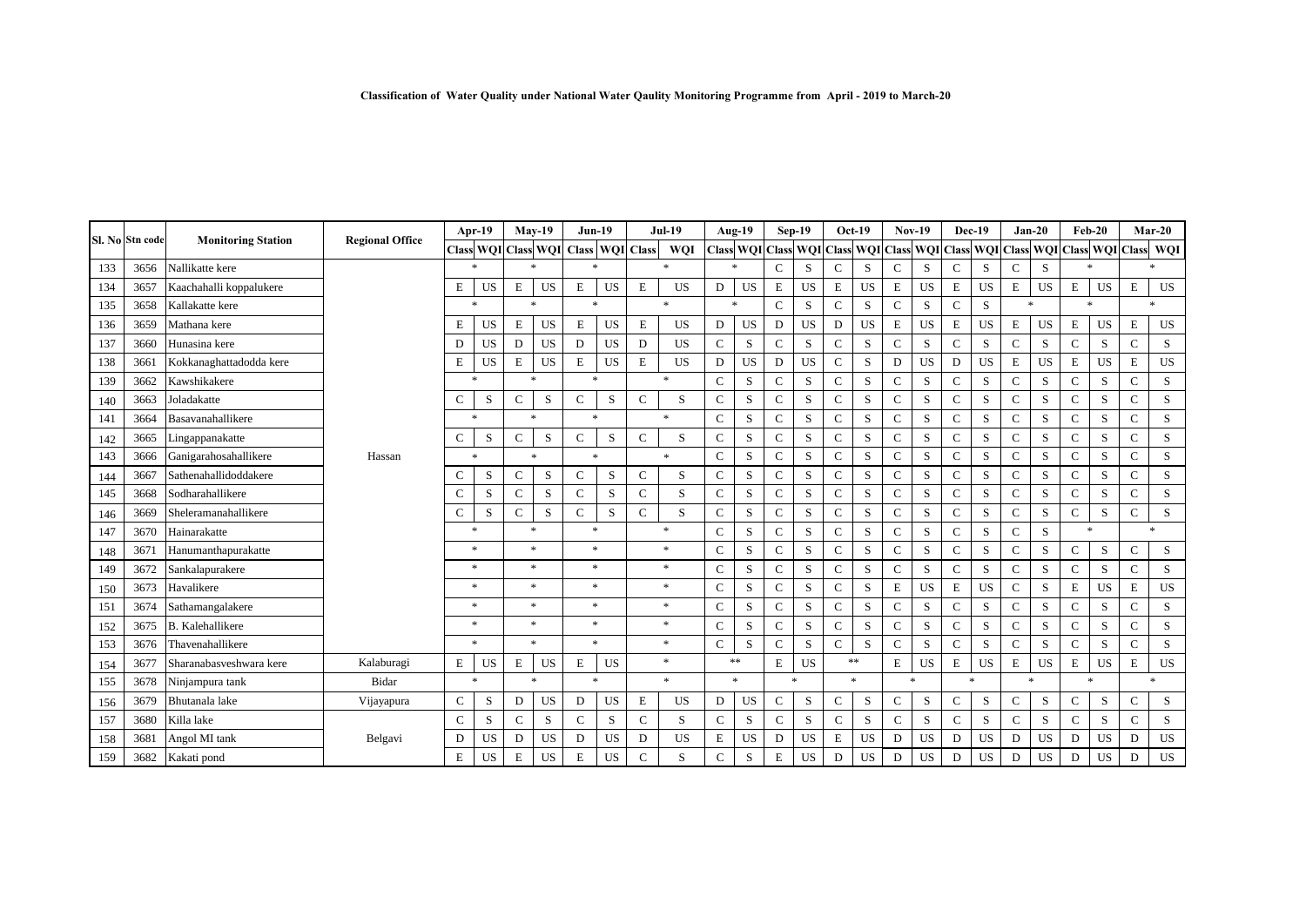|     |                 |                           | <b>Regional Office</b> | Apr-19       |           | $Mav-19$     |                     | $Jun-19$               |           | <b>Jul-19</b> |            | Aug-19       |                        | $Sep-19$         |                      | Oct-19       |           | <b>Nov-19</b>  |           | <b>Dec-19</b>       |                     | $Jan-20$         |             | $Feb-20$     |                                   |               | $Mar-20$  |
|-----|-----------------|---------------------------|------------------------|--------------|-----------|--------------|---------------------|------------------------|-----------|---------------|------------|--------------|------------------------|------------------|----------------------|--------------|-----------|----------------|-----------|---------------------|---------------------|------------------|-------------|--------------|-----------------------------------|---------------|-----------|
|     | Sl. No Stn code | <b>Monitoring Station</b> |                        |              |           |              | Class WQI Class WQI | <b>Class WOI Class</b> |           |               | <b>WOI</b> |              | <b>Class WQI Class</b> |                  | <b>WQI</b> Class WQI |              |           | <b>Class</b>   |           |                     | WQI Class WQI Class |                  |             |              | <b>WQI</b> Class <b>WQI</b> Class |               | WQI       |
| 133 | 3656            | Nallikatte kere           |                        | $\ast$       |           | $\ast$       |                     | $\ast$                 |           | $\ast$        |            | $\ast$       |                        | $\mathbf C$<br>S |                      | $\mathsf{C}$ | S         |                | S         | $\mathbf C$<br>S    |                     | $\mathbf C$<br>S |             | $\ast$       |                                   |               | $\ast$    |
| 134 | 3657            | Kaachahalli koppalukere   |                        | E            | <b>US</b> | $\mathbf E$  | <b>US</b>           | E                      | <b>US</b> | E             | <b>US</b>  | D            | <b>US</b>              | E                | US                   | E            | <b>US</b> | E              | <b>US</b> | E                   | <b>US</b>           | E                | <b>US</b>   | E            | US                                | $\mathbf E$   | US        |
| 135 | 3658            | Kallakatte kere           |                        |              | $\ast$    |              | $\ast$              | $\ast$                 |           | $\ast$        |            |              | $\ast$                 |                  | $\mathsf{C}$<br>S    |              | S         | $\mathbf{C}$   | S         | S<br>$\mathbf{C}$   |                     | $\ast$           |             |              | $\boldsymbol{\ast}$               |               | $\ast$    |
| 136 | 3659            | Mathana kere              |                        | Е            | US        | $\mathbf E$  | <b>US</b>           | $\mathbf E$            | <b>US</b> | $\mathbf E$   | US         | D            | <b>US</b>              | D                | <b>US</b>            | D            | <b>US</b> | $\mathbf E$    | <b>US</b> | E                   | <b>US</b>           | E                | <b>US</b>   | E            | <b>US</b>                         | $\mathbf E$   | <b>US</b> |
| 137 | 3660            | Hunasina kere             |                        | D            | <b>US</b> | $\mathbf{D}$ | <b>US</b>           | $\mathbf D$            | <b>US</b> | D             | US         | $\mathbf C$  | S                      | $\mathsf{C}$     | S                    | $\mathbf C$  | S         | $\mathbf{C}$   | S         | $\mathbf{C}$        | S                   | $\mathbf C$      | S           | $\mathbf{C}$ | S                                 | $\mathbf C$   | S         |
| 138 | 3661            | Kokkanaghattadodda kere   |                        | E            | <b>US</b> | $\mathbf E$  | <b>US</b>           | $\mathbf E$            | <b>US</b> | $\mathbf E$   | US         | D            | <b>US</b>              | D                | US                   | $\mathbf C$  | S         | D              | <b>US</b> | D                   | <b>US</b>           | E                | <b>US</b>   | E            | US                                | $\mathbf E$   | <b>US</b> |
| 139 | 3662            | Kawshikakere              |                        |              | $\ast$    |              | $\ast$              |                        | $\ast$    |               | $\ast$     |              | S                      | $\mathsf{C}$     | S                    | $\mathsf{C}$ | S         | $\mathbf C$    | S         | $\mathbf C$         | S                   | C                | S           | $\mathbf C$  | S                                 | $\mathsf{C}$  | S         |
| 140 | 3663            | Joladakatte               |                        | $\mathsf{C}$ | S         | $\mathsf{C}$ | S                   | C                      | S         | $\mathsf{C}$  | S          | $\mathbf C$  | S                      | $\mathbf C$      | S                    | $\mathsf{C}$ | S         | $\overline{C}$ | S         | $\mathbf C$         | S                   | C                | S           | $\mathbf C$  | S                                 | $\mathbf C$   | S         |
| 141 | 3664            | Basavanahallikere         |                        |              | $\ast$    |              | $\ast$              | $\ast$                 |           |               | $\ast$     | C            | S                      | $\mathbf C$      | S                    | $\mathsf{C}$ | S         | $\mathbf C$    | S         | $\mathbf{C}$        | S                   | C                | S           | $\mathbf C$  | S                                 | $\mathbf C$   | S         |
| 142 | 3665            | Lingappanakatte           |                        | $\mathbf C$  | S         | $\mathbf C$  | S                   | $\mathsf{C}$           | S         | $\mathsf{C}$  | S          | $\mathbf C$  | S                      | $\mathsf{C}$     | S                    | $\mathsf{C}$ | S         | $\mathbf{C}$   | S         | $\mathbf{C}$        | S                   | $\mathbf C$      | S           | $\mathsf{C}$ | S                                 | $\mathbf C$   | S         |
| 143 | 3666            | Ganigarahosahallikere     | Hassan                 |              | $\ast$    |              | $\ast$              | $\boldsymbol{\ast}$    |           |               | $\ast$     | $\mathbf C$  | S                      | $\mathsf{C}$     | S                    | $\mathsf{C}$ | S         | $\mathbf C$    | S         | $\mathbf{C}$        | S                   | $\mathbf{C}$     | ${\bf S}$   | $\mathbf{C}$ | S                                 | $\mathbf C$   | S         |
| 144 | 3667            | Sathenahallidoddakere     |                        | C            | S         | $\mathsf{C}$ | S                   | $\mathbf C$            | S         | $\mathsf{C}$  | S          | C            | S                      | $\mathsf{C}$     | S                    | $\mathsf{C}$ | S         | $\overline{C}$ | S         | $\mathbf{C}$        | S                   | C                | S           | $\mathsf{C}$ | S                                 | $\mathbf C$   | S         |
| 145 | 3668            | Sodharahallikere          |                        | $\mathbf C$  | S         | $\mathsf{C}$ | S                   | $\mathbf C$            | S         | $\mathsf{C}$  | S          | C            | S                      | $\mathsf{C}$     | S                    | $\mathsf{C}$ | S         | C              | S         | $\mathbf C$         | S                   | C                | S           | $\mathbf C$  | S                                 | $\mathsf{C}$  | S         |
| 146 | 3669            | Sheleramanahallikere      |                        | $\mathsf{C}$ | S         | $\mathbf C$  | S                   | $\mathsf{C}$           | S         | $\mathbf C$   | S          | C            | S                      | $\mathsf{C}$     | S                    | C            | S         | $\overline{C}$ | S         | $\mathbf{C}$        | S                   | C                | S           | $\mathbf C$  | S                                 | $\mathbf C$   | S         |
| 147 | 3670            | Hainarakatte              |                        |              | $\ast$    |              | $\ast$              | $\ast$                 |           | $\ast$        |            | $\mathbf C$  | S                      | $\mathsf{C}$     | S                    | $\mathsf{C}$ | S         | $\mathbf C$    | S         | $\mathbf C$         | S                   | $\mathbf C$<br>S |             |              | $\ast$                            | $\ast$        |           |
| 148 | 3671            | Hanumanthapurakatte       |                        |              | $\ast$    |              | $\ast$              | $\ast$                 |           | $\ast$        |            | C            | S                      | $\mathbf C$      | S                    | $\mathsf{C}$ | S         | $\mathbf C$    | S         | $\mathbf C$         | S                   | C                | $\mathbf S$ | $\mathbf C$  | S                                 | $\mathbf C$   | S         |
| 149 | 3672            | Sankalapurakere           |                        | $\ast$       |           | $\ast$       |                     | $\ast$                 |           | $\ast$        |            | $\mathbf C$  | ${\bf S}$              | $\mathsf{C}$     | S                    | $\mathsf{C}$ | S         | $\mathbf C$    | S         | $\mathbf{C}$        | S                   | $\mathbf C$      | S           | $\mathbf{C}$ | S                                 | $\mathbf C$   | S         |
| 150 | 3673            | Havalikere                |                        |              | $\ast$    |              | $*$                 |                        | $\ast$    |               | $\ast$     |              | S                      | $\mathbf C$      | S                    | $\mathsf{C}$ | S         | E              | <b>US</b> | E                   | <b>US</b>           | $\mathbf C$      | S           | E            | <b>US</b>                         | $\mathbf E$   | <b>US</b> |
| 151 | 3674            | Sathamangalakere          |                        |              | $\ast$    |              | $\ast$              | $\ast$                 |           | $\ast$        |            | C            | S                      | $\mathsf{C}$     | S                    | $\mathsf{C}$ | S         | $\mathbf C$    | S         | $\mathbf C$         | S                   | C                | S           | $\mathsf{C}$ | S                                 | $\mathcal{C}$ | S         |
| 152 | 3675            | <b>B.</b> Kalehallikere   |                        |              | $*$       |              | $\ast$              | $\ast$                 |           |               | $\ast$     | $\mathbf C$  | S                      | $\mathsf{C}$     | S                    | $\mathsf{C}$ | S         | $\overline{C}$ | S         | $\mathbf{C}$        | S                   | $\mathbf C$      | S           | $\mathsf{C}$ | S                                 | $\mathbf C$   | S         |
| 153 | 3676            | Thavenahallikere          |                        |              | $\ast$    |              | $\ast$              | $\ast$                 |           |               | $\ast$     | $\mathsf{C}$ | S                      | $\mathbf C$      | S                    | $\mathsf{C}$ | S         | $\mathbf C$    | S         | $\mathbf{C}$        | S                   | $\mathbf{C}$     | S           | $\mathbf C$  | S                                 | $\mathsf{C}$  | S         |
| 154 | 3677            | Sharanabasveshwara kere   | Kalaburagi             | Е            | US        | $\mathbf E$  | US                  | E                      | US        |               | $\ast$     |              | $**$                   | E                | US                   |              | $**$      | E              | <b>US</b> | E<br>US             |                     | E                | <b>US</b>   | E            | US                                | $\mathbf E$   | US        |
| 155 | 3678            | Ninjampura tank           | Bidar                  |              | $\ast$    | $\ast$       |                     | $\ast$                 |           |               | $\ast$     |              | $*$                    |                  | $\ast$               |              | $\ast$    | <b>Sk</b>      |           | $\boldsymbol{\ast}$ |                     | <b>sk</b>        |             | $\approx$    |                                   | $\ast$        |           |
| 156 | 3679            | Bhutanala lake            | Vijayapura             | $\mathbf C$  | S         | ${\rm D}$    | <b>US</b>           | D                      | US        | E             | US         | D            | US                     | $\mathbf C$      | S                    | C            | S         | ${\bf C}$      | S         | $\mathbf C$         | $\rm S$             | C                | S           | $\mathsf{C}$ | S                                 | $\mathbf C$   | ${\bf S}$ |
| 157 | 3680            | Killa lake                |                        | $\mathbf C$  | S         | $\mathsf{C}$ | S                   | $\mathsf{C}$           | S         | $\mathsf{C}$  | S          | $\mathbf C$  | S                      | $\mathsf{C}$     | S                    | $\mathbf C$  | S         | $\mathbf C$    | S         | $\mathbf C$         | S                   | $\mathbf C$      | S           | $\mathbf C$  | S                                 | $\mathsf{C}$  | S         |
| 158 | 3681            | Angol MI tank             | Belgavi                | D            | <b>US</b> | D            | US                  | D                      | US        | D             | US         | E            | <b>US</b>              | D                | <b>US</b>            | Ε            | <b>US</b> | D              | <b>US</b> | D                   | <b>US</b>           | D                | <b>US</b>   | D            | <b>US</b>                         | D             | US        |
| 159 | 3682            | Kakati pond               |                        | E            | <b>US</b> | E            | US                  | E                      | <b>US</b> | $\mathsf{C}$  | S          | C            | S                      | Е                | <b>US</b>            | D            | <b>US</b> | D              | <b>US</b> | D                   | <b>US</b>           | D                | <b>US</b>   | D            | <b>US</b>                         | D             | <b>US</b> |